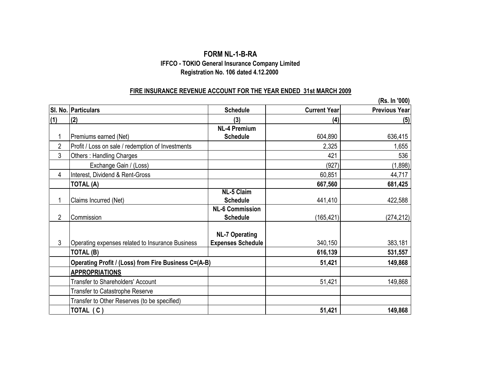#### **FORM NL-1-B-RA Registration No. 106 dated 4.12.2000 IFFCO - TOKIO General Insurance Company Limited**

#### **FIRE INSURANCE REVENUE ACCOUNT FOR THE YEAR ENDED 31st MARCH 2009**

|                |                                                      |                          |                     | (Rs. In '000)        |
|----------------|------------------------------------------------------|--------------------------|---------------------|----------------------|
|                | SI. No. Particulars                                  | <b>Schedule</b>          | <b>Current Year</b> | <b>Previous Year</b> |
| (1)            | (2)                                                  | (3)                      | (4)                 | (5)                  |
|                |                                                      | <b>NL-4 Premium</b>      |                     |                      |
|                | Premiums earned (Net)                                | <b>Schedule</b>          | 604,890             | 636,415              |
| $\overline{2}$ | Profit / Loss on sale / redemption of Investments    |                          | 2,325               | 1,655                |
| 3              | Others: Handling Charges                             |                          | 421                 | 536                  |
|                | Exchange Gain / (Loss)                               |                          | (927)               | (1,898)              |
| 4              | Interest, Dividend & Rent-Gross                      |                          | 60,851              | 44,717               |
|                | TOTAL (A)                                            |                          | 667,560             | 681,425              |
|                |                                                      | <b>NL-5 Claim</b>        |                     |                      |
| 1              | Claims Incurred (Net)                                | <b>Schedule</b>          | 441,410             | 422,588              |
|                |                                                      | <b>NL-6 Commission</b>   |                     |                      |
| $\overline{2}$ | Commission                                           | <b>Schedule</b>          | (165, 421)          | (274, 212)           |
|                |                                                      |                          |                     |                      |
|                |                                                      | <b>NL-7 Operating</b>    |                     |                      |
| 3              | Operating expenses related to Insurance Business     | <b>Expenses Schedule</b> | 340,150             | 383,181              |
|                | TOTAL (B)                                            |                          | 616,139             | 531,557              |
|                | Operating Profit / (Loss) from Fire Business C=(A-B) |                          | 51,421              | 149,868              |
|                | <b>APPROPRIATIONS</b>                                |                          |                     |                      |
|                | Transfer to Shareholders' Account                    |                          | 51,421              | 149,868              |
|                | Transfer to Catastrophe Reserve                      |                          |                     |                      |
|                | Transfer to Other Reserves (to be specified)         |                          |                     |                      |
|                | TOTAL (C)                                            |                          | 51,421              | 149,868              |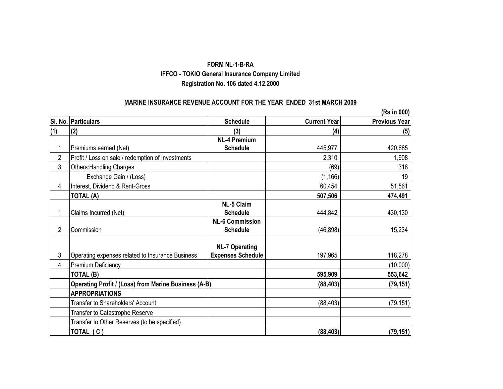#### **FORM NL-1-B-RA IFFCO - TOKIO General Insurance Company Limited Registration No. 106 dated 4.12.2000**

#### **MARINE INSURANCE REVENUE ACCOUNT FOR THE YEAR ENDED 31st MARCH 2009**

|                |                                                             |                          |                     | (Rs in 000)          |
|----------------|-------------------------------------------------------------|--------------------------|---------------------|----------------------|
|                | SI. No. Particulars                                         | <b>Schedule</b>          | <b>Current Year</b> | <b>Previous Year</b> |
| (1)            | (2)                                                         | (3)                      | (4)                 | (5)                  |
|                |                                                             | <b>NL-4 Premium</b>      |                     |                      |
| 1              | Premiums earned (Net)                                       | <b>Schedule</b>          | 445,977             | 420,685              |
| $\overline{2}$ | Profit / Loss on sale / redemption of Investments           |                          | 2,310               | 1,908                |
| 3              | <b>Others: Handling Charges</b>                             |                          | (69)                | 318                  |
|                | Exchange Gain / (Loss)                                      |                          | (1, 166)            | 19                   |
| 4              | Interest, Dividend & Rent-Gross                             |                          | 60,454              | 51,561               |
|                | <b>TOTAL (A)</b>                                            |                          | 507,506             | 474,491              |
|                |                                                             | <b>NL-5 Claim</b>        |                     |                      |
| 1              | Claims Incurred (Net)                                       | <b>Schedule</b>          | 444,842             | 430,130              |
|                |                                                             | <b>NL-6 Commission</b>   |                     |                      |
| 2              | Commission                                                  | <b>Schedule</b>          | (46, 898)           | 15,234               |
|                |                                                             |                          |                     |                      |
|                |                                                             | <b>NL-7 Operating</b>    |                     |                      |
| 3              | Operating expenses related to Insurance Business            | <b>Expenses Schedule</b> | 197,965             | 118,278              |
| 4              | <b>Premium Deficiency</b>                                   |                          |                     | (10,000)             |
|                | TOTAL (B)                                                   |                          | 595,909             | 553,642              |
|                | <b>Operating Profit / (Loss) from Marine Business (A-B)</b> |                          | (88, 403)           | (79, 151)            |
|                | <b>APPROPRIATIONS</b>                                       |                          |                     |                      |
|                | <b>Transfer to Shareholders' Account</b>                    |                          | (88, 403)           | (79, 151)            |
|                | Transfer to Catastrophe Reserve                             |                          |                     |                      |
|                | Transfer to Other Reserves (to be specified)                |                          |                     |                      |
|                | TOTAL $(C)$                                                 |                          | (88, 403)           | (79, 151)            |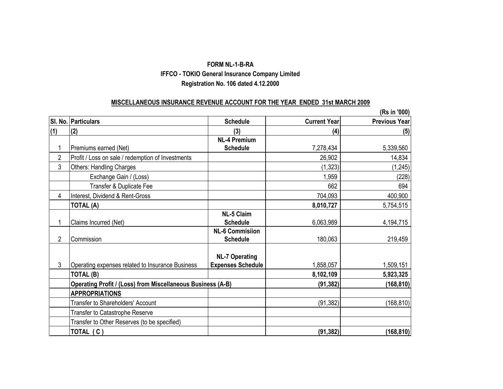#### **FORM NL-1-B-RA Registration No. 106 dated 4.12.2000 IFFCO - TOKIO General Insurance Company Limited**

#### **MISCELLANEOUS INSURANCE REVENUE ACCOUNT FOR THE YEAR ENDED 31st MARCH 2009**

|                |                                                             |                          |                     | (Rs in '000)         |
|----------------|-------------------------------------------------------------|--------------------------|---------------------|----------------------|
|                | SI. No. Particulars                                         | <b>Schedule</b>          | <b>Current Year</b> | <b>Previous Year</b> |
| (1)            | (2)                                                         | (3)                      | (4)                 | (5)                  |
|                |                                                             | <b>NL-4 Premium</b>      |                     |                      |
| 1              | Premiums earned (Net)                                       | <b>Schedule</b>          | 7,278,434           | 5,339,560            |
| $\overline{2}$ | Profit / Loss on sale / redemption of Investments           |                          | 26,902              | 14,834               |
| 3              | <b>Others: Handling Charges</b>                             |                          | (1, 323)            | (1, 245)             |
|                | Exchange Gain / (Loss)                                      |                          | 1,959               | (228)                |
|                | Transfer & Duplicate Fee                                    |                          | 662                 | 694                  |
| 4              | Interest, Dividend & Rent-Gross                             |                          | 704,093             | 400,900              |
|                | TOTAL (A)                                                   |                          | 8,010,727           | 5,754,515            |
|                |                                                             | <b>NL-5 Claim</b>        |                     |                      |
| 1              | Claims Incurred (Net)                                       | <b>Schedule</b>          | 6,063,989           | 4,194,715            |
|                |                                                             | <b>NL-6 Commisiion</b>   |                     |                      |
| $\overline{2}$ | Commission                                                  | <b>Schedule</b>          | 180,063             | 219,459              |
|                |                                                             |                          |                     |                      |
|                |                                                             | <b>NL-7 Operating</b>    |                     |                      |
| 3              | Operating expenses related to Insurance Business            | <b>Expenses Schedule</b> | 1,858,057           | 1,509,151            |
|                | TOTAL (B)                                                   |                          | 8,102,109           | 5,923,325            |
|                | Operating Profit / (Loss) from Miscellaneous Business (A-B) |                          | (91, 382)           | (168, 810)           |
|                | <b>APPROPRIATIONS</b>                                       |                          |                     |                      |
|                | Transfer to Shareholders' Account                           |                          | (91, 382)           | (168, 810)           |
|                | Transfer to Catastrophe Reserve                             |                          |                     |                      |
|                | Transfer to Other Reserves (to be specified)                |                          |                     |                      |
|                | TOTAL (C)                                                   |                          | (91, 382)           | (168, 810)           |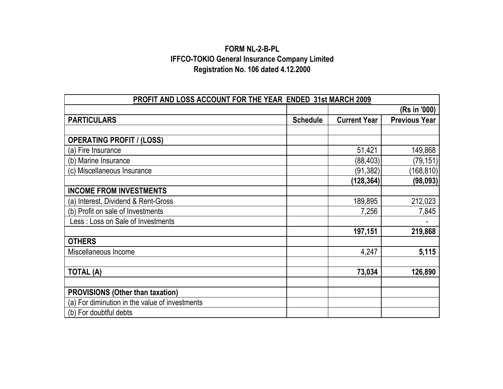### **IFFCO-TOKIO General Insurance Company Limited Registration No. 106 dated 4.12.2000 FORM NL-2-B-PL**

| PROFIT AND LOSS ACCOUNT FOR THE YEAR ENDED 31st MARCH 2009 |                 |                     |                      |  |  |  |
|------------------------------------------------------------|-----------------|---------------------|----------------------|--|--|--|
|                                                            |                 |                     | (Rs in '000)         |  |  |  |
| <b>PARTICULARS</b>                                         | <b>Schedule</b> | <b>Current Year</b> | <b>Previous Year</b> |  |  |  |
|                                                            |                 |                     |                      |  |  |  |
| <b>OPERATING PROFIT / (LOSS)</b>                           |                 |                     |                      |  |  |  |
| (a) Fire Insurance                                         |                 | 51,421              | 149,868              |  |  |  |
| (b) Marine Insurance                                       |                 | (88, 403)           | (79, 151)            |  |  |  |
| (c) Miscellaneous Insurance                                |                 | (91, 382)           | (168, 810)           |  |  |  |
|                                                            |                 | (128, 364)          | (98, 093)            |  |  |  |
| <b>INCOME FROM INVESTMENTS</b>                             |                 |                     |                      |  |  |  |
| (a) Interest, Dividend & Rent-Gross                        |                 | 189,895             | 212,023              |  |  |  |
| (b) Profit on sale of Investments                          |                 | 7,256               | 7,845                |  |  |  |
| Less: Loss on Sale of Investments                          |                 |                     |                      |  |  |  |
|                                                            |                 | 197,151             | 219,868              |  |  |  |
| <b>OTHERS</b>                                              |                 |                     |                      |  |  |  |
| Miscellaneous Income                                       |                 | 4,247               | 5,115                |  |  |  |
|                                                            |                 |                     |                      |  |  |  |
| <b>TOTAL (A)</b>                                           |                 | 73,034              | 126,890              |  |  |  |
|                                                            |                 |                     |                      |  |  |  |
| <b>PROVISIONS (Other than taxation)</b>                    |                 |                     |                      |  |  |  |
| (a) For diminution in the value of investments             |                 |                     |                      |  |  |  |
| (b) For doubtful debts                                     |                 |                     |                      |  |  |  |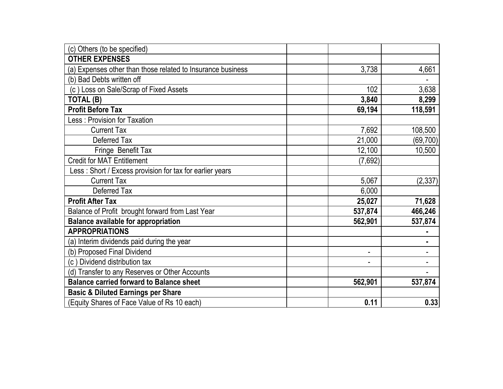| (c) Others (to be specified)                                |         |           |
|-------------------------------------------------------------|---------|-----------|
| <b>OTHER EXPENSES</b>                                       |         |           |
| (a) Expenses other than those related to Insurance business | 3,738   | 4,661     |
| (b) Bad Debts written off                                   |         |           |
| (c) Loss on Sale/Scrap of Fixed Assets                      | 102     | 3,638     |
| TOTAL (B)                                                   | 3,840   | 8,299     |
| <b>Profit Before Tax</b>                                    | 69,194  | 118,591   |
| Less: Provision for Taxation                                |         |           |
| <b>Current Tax</b>                                          | 7,692   | 108,500   |
| Deferred Tax                                                | 21,000  | (69, 700) |
| Fringe Benefit Tax                                          | 12,100  | 10,500    |
| <b>Credit for MAT Entitlement</b>                           | (7,692) |           |
| Less: Short / Excess provision for tax for earlier years    |         |           |
| <b>Current Tax</b>                                          | 5,067   | (2, 337)  |
| Deferred Tax                                                | 6,000   |           |
| <b>Profit After Tax</b>                                     | 25,027  | 71,628    |
| Balance of Profit brought forward from Last Year            | 537,874 | 466,246   |
| <b>Balance available for appropriation</b>                  | 562,901 | 537,874   |
| <b>APPROPRIATIONS</b>                                       |         |           |
| (a) Interim dividends paid during the year                  |         | ٠         |
| (b) Proposed Final Dividend                                 |         |           |
| (c) Dividend distribution tax                               |         |           |
| (d) Transfer to any Reserves or Other Accounts              |         |           |
| <b>Balance carried forward to Balance sheet</b>             | 562,901 | 537,874   |
| <b>Basic &amp; Diluted Earnings per Share</b>               |         |           |
| (Equity Shares of Face Value of Rs 10 each)                 | 0.11    | 0.33      |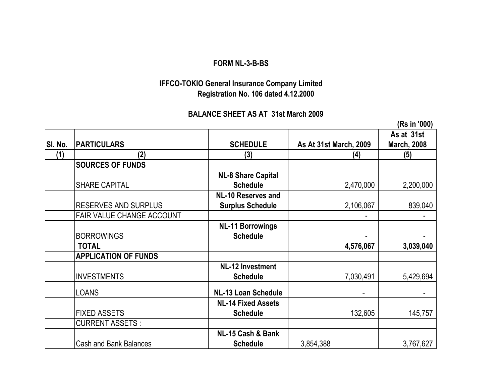### **FORM NL-3-B-BS**

## **Registration No. 106 dated 4.12.2000 IFFCO-TOKIO General Insurance Company Limited**

### **BALANCE SHEET AS AT 31st March 2009**

|         |                               |                                                      |                               |           | (Rs in '000)                     |
|---------|-------------------------------|------------------------------------------------------|-------------------------------|-----------|----------------------------------|
| SI. No. | <b>PARTICULARS</b>            | <b>SCHEDULE</b>                                      | <b>As At 31st March, 2009</b> |           | As at 31st<br><b>March, 2008</b> |
| (1)     | (2)                           | (3)                                                  |                               | (4)       | (5)                              |
|         | <b>SOURCES OF FUNDS</b>       |                                                      |                               |           |                                  |
|         | <b>SHARE CAPITAL</b>          | <b>NL-8 Share Capital</b><br><b>Schedule</b>         |                               | 2,470,000 | 2,200,000                        |
|         | <b>RESERVES AND SURPLUS</b>   | <b>NL-10 Reserves and</b><br><b>Surplus Schedule</b> |                               | 2,106,067 | 839,040                          |
|         | FAIR VALUE CHANGE ACCOUNT     |                                                      |                               |           |                                  |
|         | <b>BORROWINGS</b>             | <b>NL-11 Borrowings</b><br><b>Schedule</b>           |                               |           |                                  |
|         | <b>TOTAL</b>                  |                                                      |                               | 4,576,067 | 3,039,040                        |
|         | <b>APPLICATION OF FUNDS</b>   |                                                      |                               |           |                                  |
|         | <b>INVESTMENTS</b>            | <b>NL-12 Investment</b><br><b>Schedule</b>           |                               | 7,030,491 | 5,429,694                        |
|         | LOANS                         | <b>NL-13 Loan Schedule</b>                           |                               |           |                                  |
|         | <b>FIXED ASSETS</b>           | <b>NL-14 Fixed Assets</b><br><b>Schedule</b>         |                               | 132,605   | 145,757                          |
|         | <b>CURRENT ASSETS:</b>        |                                                      |                               |           |                                  |
|         | <b>Cash and Bank Balances</b> | NL-15 Cash & Bank<br><b>Schedule</b>                 | 3,854,388                     |           | 3,767,627                        |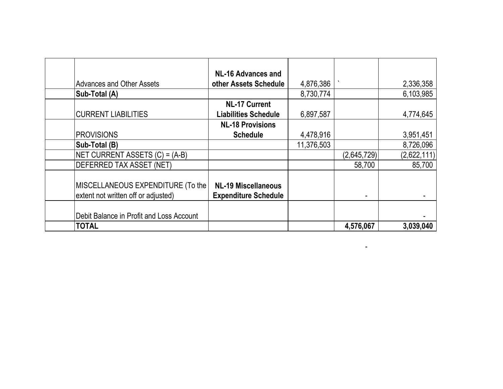|                                          | <b>NL-16 Advances and</b>   |            |             |             |
|------------------------------------------|-----------------------------|------------|-------------|-------------|
| <b>Advances and Other Assets</b>         | other Assets Schedule       | 4,876,386  |             | 2,336,358   |
| Sub-Total (A)                            |                             | 8,730,774  |             | 6,103,985   |
|                                          | <b>NL-17 Current</b>        |            |             |             |
| <b>CURRENT LIABILITIES</b>               | <b>Liabilities Schedule</b> | 6,897,587  |             | 4,774,645   |
|                                          | <b>NL-18 Provisions</b>     |            |             |             |
| <b>PROVISIONS</b>                        | <b>Schedule</b>             | 4,478,916  |             | 3,951,451   |
| Sub-Total (B)                            |                             | 11,376,503 |             | 8,726,096   |
| NET CURRENT ASSETS (C) = (A-B)           |                             |            | (2,645,729) | (2,622,111) |
| <b>DEFERRED TAX ASSET (NET)</b>          |                             |            | 58,700      | 85,700      |
|                                          |                             |            |             |             |
| MISCELLANEOUS EXPENDITURE (To the        | <b>NL-19 Miscellaneous</b>  |            |             |             |
| extent not written off or adjusted)      | <b>Expenditure Schedule</b> |            |             |             |
|                                          |                             |            |             |             |
| Debit Balance in Profit and Loss Account |                             |            |             |             |
| <b>TOTAL</b>                             |                             |            | 4,576,067   | 3,039,040   |

 $\mathcal{L}=\mathcal{L}^{\mathcal{L}}\left(\mathcal{L}^{\mathcal{L}}\right)$  , where  $\mathcal{L}^{\mathcal{L}}$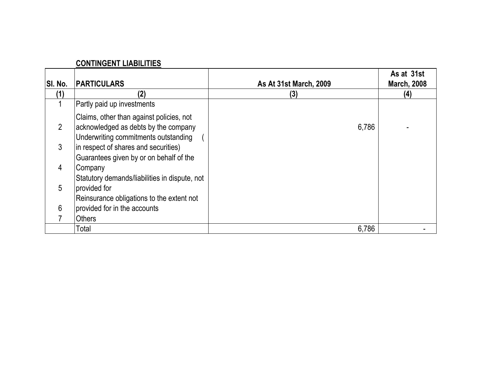### **CONTINGENT LIABILITIES**

| SI. No.        | <b>PARTICULARS</b>                                                                                                       | <b>As At 31st March, 2009</b> | As at 31st<br><b>March, 2008</b> |
|----------------|--------------------------------------------------------------------------------------------------------------------------|-------------------------------|----------------------------------|
| 1              | (2)                                                                                                                      | (3)                           | (4)                              |
|                | Partly paid up investments                                                                                               |                               |                                  |
| $\overline{2}$ | Claims, other than against policies, not<br>acknowledged as debts by the company<br>Underwriting commitments outstanding | 6,786                         |                                  |
| 3              | in respect of shares and securities)<br>Guarantees given by or on behalf of the                                          |                               |                                  |
| 4              | Company<br>Statutory demands/liabilities in dispute, not                                                                 |                               |                                  |
| 5              | provided for<br>Reinsurance obligations to the extent not                                                                |                               |                                  |
| 6              | provided for in the accounts                                                                                             |                               |                                  |
|                | <b>Others</b>                                                                                                            |                               |                                  |
|                | Total                                                                                                                    | 6,786                         |                                  |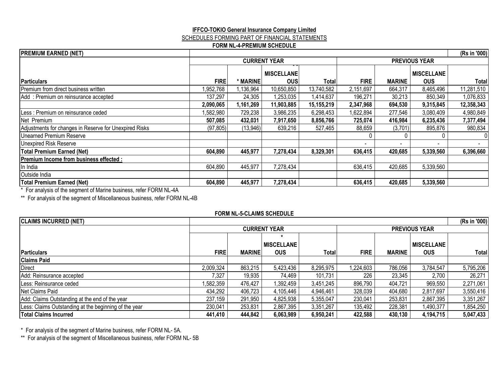#### **IFFCO-TOKIO General Insurance Company Limited** SCHEDULES FORMING PART OF FINANCIAL STATEMENTS **FORM NL-4-PREMIUM SCHEDULE**

| <b>PREMIUM EARNED (NET)</b>                            |             |           |                                 |            |             |               |                                 | (Rs in '000) |
|--------------------------------------------------------|-------------|-----------|---------------------------------|------------|-------------|---------------|---------------------------------|--------------|
|                                                        |             |           | <b>CURRENT YEAR</b>             |            |             |               | <b>PREVIOUS YEAR</b>            |              |
| <b>Particulars</b>                                     | <b>FIRE</b> | * MARINE  | <b>MISCELLANE</b><br><b>OUS</b> | Total      | <b>FIRE</b> | <b>MARINE</b> | <b>MISCELLANE</b><br><b>OUS</b> | Total        |
| Premium from direct business written                   | 1,952,768   | 1,136,964 | 10,650,850                      | 13,740,582 | 2,151,697   | 664,317       | 8,465,496                       | 11,281,510   |
| Add: Premium on reinsurance accepted                   | 137,297     | 24,305    | 1,253,035                       | 1,414,637  | 196,271     | 30,213        | 850,349                         | 1,076,833    |
|                                                        | 2,090,065   | 1,161,269 | 11,903,885                      | 15,155,219 | 2,347,968   | 694,530       | 9,315,845                       | 12,358,343   |
| Less : Premium on reinsurance ceded                    | ,582,980    | 729,238   | 3,986,235                       | 6,298,453  | 1,622,894   | 277,546       | 3,080,409                       | 4,980,849    |
| Net Premium                                            | 507,085     | 432,031   | 7,917,650                       | 8,856,766  | 725,074     | 416,984       | 6,235,436                       | 7,377,494    |
| Adjustments for changes in Reserve for Unexpired Risks | (97, 805)   | (13, 946) | 639,216                         | 527,465    | 88,659      | (3,701)       | 895,876                         | 980,834      |
| Unearned Premium Reserve                               |             |           |                                 |            |             |               |                                 |              |
| Unexpired Risk Reserve                                 |             |           |                                 |            |             |               |                                 |              |
| <b>Total Premium Earned (Net)</b>                      | 604,890     | 445,977   | 7,278,434                       | 8,329,301  | 636,415     | 420,685       | 5,339,560                       | 6,396,660    |
| <b>Premium Income from business effected:</b>          |             |           |                                 |            |             |               |                                 |              |
| In India                                               | 604,890     | 445,977   | 7,278,434                       |            | 636,415     | 420,685       | 5,339,560                       |              |
| Outside India                                          |             |           |                                 |            |             |               |                                 |              |
| <b>Total Premium Earned (Net)</b>                      | 604,890     | 445,977   | 7,278,434                       |            | 636,415     | 420,685       | 5,339,560                       |              |

\* For analysis of the segment of Marine business, refer FORM NL-4A

\*\* For analysis of the segment of Miscellaneous business, refer FORM NL-4B

#### **FORM NL-5-CLAIMS SCHEDULE**

| <b>CLAIMS INCURRED (NET)</b>                          |             |               |                     |           |             |                      | (Rs in '000)      |           |  |
|-------------------------------------------------------|-------------|---------------|---------------------|-----------|-------------|----------------------|-------------------|-----------|--|
|                                                       |             |               | <b>CURRENT YEAR</b> |           |             | <b>PREVIOUS YEAR</b> |                   |           |  |
|                                                       |             |               |                     |           |             |                      |                   |           |  |
|                                                       |             |               | <b>MISCELLANE</b>   |           |             |                      | <b>MISCELLANE</b> |           |  |
| <b>Particulars</b>                                    | <b>FIRE</b> | <b>MARINE</b> | <b>OUS</b>          | Totall    | <b>FIRE</b> | <b>MARINE</b>        | <b>OUS</b>        | Total     |  |
| <b>Claims Paid</b>                                    |             |               |                     |           |             |                      |                   |           |  |
| <b>Direct</b>                                         | 2,009,324   | 863,215       | 5,423,436           | 8,295,975 | 1,224,603   | 786,056              | 3,784,547         | 5,795,206 |  |
| Add: Reinsurance accepted                             | 7,327       | 19,935        | 74,469              | 101,731   | 226         | 23,345               | 2,700             | 26,271    |  |
| Less: Reinsurance ceded                               | 1,582,359   | 476,427       | 1,392,459           | 3,451,245 | 896,790     | 404,721              | 969,550           | 2,271,061 |  |
| Net Claims Paid                                       | 434,292     | 406,723       | 4,105,446           | 4,946,461 | 328,039     | 404,680              | 2,817,697         | 3,550,416 |  |
| Add: Claims Outstanding at the end of the year        | 237,159     | 291,950       | 4,825,938           | 5,355,047 | 230,041     | 253,831              | 2,867,395         | 3,351,267 |  |
| Less: Claims Outstanding at the beginning of the year | 230,041     | 253,831       | 2,867,395           | 3,351,267 | 135,492     | 228,381              | 1,490,377         | 1,854,250 |  |
| <b>Total Claims Incurred</b>                          | 441,410     | 444,842       | 6,063,989           | 6,950,241 | 422,588     | 430,130              | 4,194,715         | 5,047,433 |  |

\* For analysis of the segment of Marine business, refer FORM NL- 5A.

\*\* For analysis of the segment of Miscellaneous business, refer FORM NL- 5B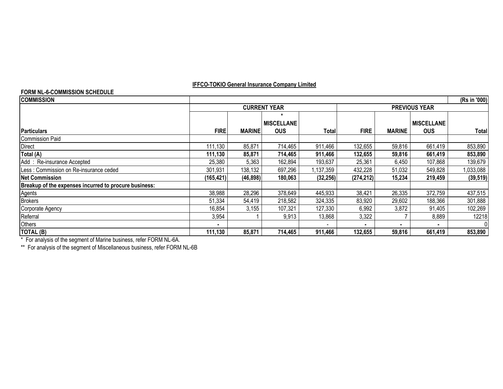#### **FORM NL-6-COMMISSION SCHEDULE**

| <u>UNITINE-V-UUMINIUUIUN UUTILDULL</u>                |                     |               |                   |                      |             |               |                   |              |
|-------------------------------------------------------|---------------------|---------------|-------------------|----------------------|-------------|---------------|-------------------|--------------|
| <b>COMMISSION</b>                                     |                     |               |                   |                      |             |               |                   | (Rs in '000) |
|                                                       | <b>CURRENT YEAR</b> |               |                   | <b>PREVIOUS YEAR</b> |             |               |                   |              |
|                                                       |                     |               | <b>MISCELLANE</b> |                      |             |               | <b>MISCELLANE</b> |              |
| <b>Particulars</b>                                    | <b>FIRE</b>         | <b>MARINE</b> | <b>OUS</b>        | Totall               | <b>FIRE</b> | <b>MARINE</b> | <b>OUS</b>        | Total        |
| Commission Paid                                       |                     |               |                   |                      |             |               |                   |              |
| Direct                                                | 111,130             | 85,871        | 714,465           | 911,466              | 132,655     | 59,816        | 661,419           | 853,890      |
| Total (A)                                             | 111,130             | 85,871        | 714,465           | 911,466              | 132,655     | 59,816        | 661,419           | 853,890      |
| Add: Re-insurance Accepted                            | 25,380              | 5,363         | 162,894           | 193,637              | 25,361      | 6,450         | 107,868           | 139,679      |
| Less: Commission on Re-insurance ceded                | 301,931             | 138,132       | 697,296           | 1,137,359            | 432,228     | 51,032        | 549,828           | 1,033,088    |
| <b>Net Commission</b>                                 | (165, 421)          | (46, 898)     | 180,063           | (32, 256)            | (274, 212)  | 15,234        | 219,459           | (39, 519)    |
| Breakup of the expenses incurred to procure business: |                     |               |                   |                      |             |               |                   |              |
| Agents                                                | 38,988              | 28,296        | 378,649           | 445,933              | 38,421      | 26,335        | 372,759           | 437,515      |
| <b>Brokers</b>                                        | 51,334              | 54,419        | 218,582           | 324,335              | 83,920      | 29,602        | 188,366           | 301,888      |
| Corporate Agency                                      | 16,854              | 3,155         | 107,321           | 127,330              | 6,992       | 3,872         | 91,405            | 102,269      |
| Referral                                              | 3,954               |               | 9,913             | 13,868               | 3,322       |               | 8,889             | 12218        |
| Others                                                |                     |               |                   |                      | ۰           |               |                   | $\Omega$     |
| TOTAL (B)                                             | 111,130             | 85,871        | 714,465           | 911,466              | 132,655     | 59.816        | 661,419           | 853,890      |

\* For analysis of the segment of Marine business, refer FORM NL-6A.

\*\* For analysis of the segment of Miscellaneous business, refer FORM NL-6B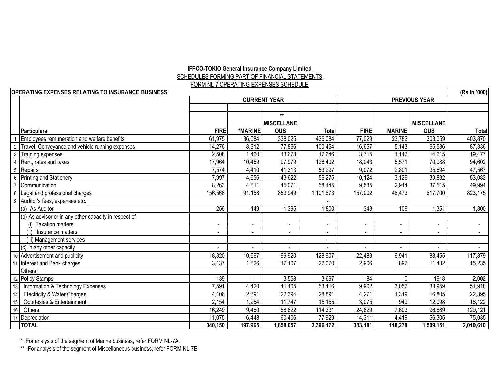#### SCHEDULES FORMING PART OF FINANCIAL STATEMENTS **IFFCO-TOKIO General Insurance Company Limited** FORM NL-7 OPERATING EXPENSES SCHEDULE

|    | <b>OPERATING EXPENSES RELATING TO INSURANCE BUSINESS</b> |                          |                          |                     |                              |                          |                          |                          | (Rs in '000)   |
|----|----------------------------------------------------------|--------------------------|--------------------------|---------------------|------------------------------|--------------------------|--------------------------|--------------------------|----------------|
|    |                                                          |                          |                          | <b>CURRENT YEAR</b> |                              |                          |                          | <b>PREVIOUS YEAR</b>     |                |
|    |                                                          |                          |                          |                     |                              |                          |                          |                          |                |
|    |                                                          |                          |                          | $**$                |                              |                          |                          |                          |                |
|    |                                                          |                          |                          | <b>MISCELLANE</b>   |                              |                          |                          | <b>MISCELLANE</b>        |                |
|    | Particulars                                              | <b>FIRE</b>              | *MARINE                  | <b>OUS</b>          | <b>Total</b>                 | <b>FIRE</b>              | <b>MARINE</b>            | <b>OUS</b>               | Total          |
|    | Employees remuneration and welfare benefits              | 61,975                   | 36,084                   | 338,025             | 436,084                      | 77,029                   | 23,782                   | 303,059                  | 403,870        |
|    | Travel, Conveyance and vehicle running expenses          | 14,276                   | 8,312                    | 77,866              | 100,454                      | 16,657                   | 5,143                    | 65,536                   | 87,336         |
|    | Training expenses                                        | 2,508                    | 1,460                    | 13,678              | 17,646                       | 3,715                    | 1,147                    | 14,615                   | 19,477         |
|    | Rent, rates and taxes                                    | 17,964                   | 10,459                   | 97,979              | 126,402                      | 18,043                   | 5,571                    | 70,988                   | 94,602         |
|    | 5 Repairs                                                | 7,574                    | 4,410                    | 41,313              | 53,297                       | 9,072                    | 2,801                    | 35,694                   | 47,567         |
| 6  | <b>Printing and Stationery</b>                           | 7,997                    | 4,656                    | 43,622              | 56,275                       | 10,124                   | 3,126                    | 39,832                   | 53,082         |
|    | Communication                                            | 8,263                    | 4,811                    | 45,071              | 58,145                       | 9,535                    | 2,944                    | 37,515                   | 49,994         |
|    | 8   Legal and professional charges                       | 156,566                  | 91,158                   | 853,949             | 1,101,673                    | 157,002                  | 48,473                   | 617,700                  | 823,175        |
|    | 9 Auditor's fees, expenses etc.                          |                          |                          |                     |                              |                          |                          |                          |                |
|    | (a) As Auditor                                           | 256                      | 149                      | 1,395               | 1,800                        | 343                      | 106                      | 1,351                    | 1,800          |
|    | (b) As advisor or in any other capacity in respect of    |                          |                          |                     |                              |                          |                          |                          |                |
|    | <b>Taxation matters</b>                                  | $\overline{\phantom{a}}$ | $\overline{\phantom{a}}$ | $\blacksquare$      | $\overline{\phantom{a}}$     | $\overline{\phantom{a}}$ | $\overline{\phantom{a}}$ | $\overline{\phantom{a}}$ |                |
|    | (ii)<br>Insurance matters                                | $\blacksquare$           | $\blacksquare$           | $\blacksquare$      | $\qquad \qquad \blacksquare$ | $\blacksquare$           | $\blacksquare$           | ٠                        |                |
|    | (iii) Management services                                | $\blacksquare$           |                          |                     | $\blacksquare$               | $\overline{\phantom{a}}$ |                          | $\overline{\phantom{a}}$ | $\blacksquare$ |
|    | (c) in any other capacity                                | ÷,                       |                          |                     |                              |                          |                          |                          |                |
|    | 10 Advertisement and publicity                           | 18,320                   | 10,667                   | 99,920              | 128,907                      | 22,483                   | 6,941                    | 88,455                   | 117,879        |
|    | Interest and Bank charges                                | 3,137                    | 1,826                    | 17,107              | 22,070                       | 2,906                    | 897                      | 11,432                   | 15,235         |
|    | Others:                                                  |                          |                          |                     |                              |                          |                          |                          |                |
|    | 12 Policy Stamps                                         | 139                      |                          | 3,558               | 3,697                        | 84                       | 0                        | 1918                     | 2,002          |
| 13 | Information & Technology Expenses                        | 7,591                    | 4,420                    | 41,405              | 53,416                       | 9,902                    | 3,057                    | 38,959                   | 51,918         |
| 14 | <b>Electricity &amp; Water Charges</b>                   | 4,106                    | 2,391                    | 22,394              | 28,891                       | 4,271                    | 1,319                    | 16,805                   | 22,395         |
| 15 | Courtesies & Entertainment                               | 2,154                    | 1,254                    | 11,747              | 15,155                       | 3,075                    | 949                      | 12,098                   | 16,122         |
| 16 | Others                                                   | 16,249                   | 9,460                    | 88,622              | 114,331                      | 24,629                   | 7,603                    | 96,889                   | 129,121        |
| 17 | Depreciation                                             | 11,075                   | 6,448                    | 60,406              | 77,929                       | 14,311                   | 4,419                    | 56,305                   | 75,035         |
|    | <b>TOTAL</b>                                             | 340,150                  | 197,965                  | 1,858,057           | 2,396,172                    | 383,181                  | 118,278                  | 1,509,151                | 2,010,610      |

\* For analysis of the segment of Marine business, refer FORM NL-7A.

\*\* For analysis of the segment of Miscellaneous business, refer FORM NL-7B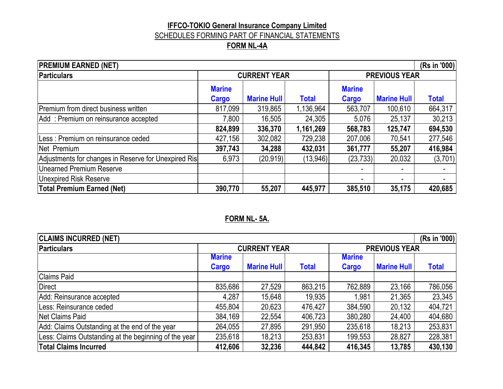## **IFFCO-TOKIO General Insurance Company Limited** SCHEDULES FORMING PART OF FINANCIAL STATEMENTS

## **FORM NL-4A**

| <b>PREMIUM EARNED (NET)</b><br>(Rs in '000)          |                        |                     |              |                        |                      |              |  |  |  |
|------------------------------------------------------|------------------------|---------------------|--------------|------------------------|----------------------|--------------|--|--|--|
| <b>Particulars</b>                                   |                        | <b>CURRENT YEAR</b> |              |                        | <b>PREVIOUS YEAR</b> |              |  |  |  |
|                                                      | <b>Marine</b><br>Cargo | <b>Marine Hull</b>  | <b>Total</b> | <b>Marine</b><br>Cargo | <b>Marine Hull</b>   | <b>Total</b> |  |  |  |
| Premium from direct business written                 | 817,099                | 319,865             | 1,136,964    | 563,707                | 100,610              | 664,317      |  |  |  |
| Add: Premium on reinsurance accepted                 | 7,800                  | 16,505              | 24,305       | 5,076                  | 25,137               | 30,213       |  |  |  |
|                                                      | 824,899                | 336,370             | 1,161,269    | 568,783                | 125,747              | 694,530      |  |  |  |
| Less : Premium on reinsurance ceded                  | 427,156                | 302,082             | 729,238      | 207,006                | 70,541               | 277,546      |  |  |  |
| Net Premium                                          | 397,743                | 34,288              | 432,031      | 361,777                | 55,207               | 416,984      |  |  |  |
| Adjustments for changes in Reserve for Unexpired Ris | 6,973                  | (20, 919)           | (13,946)     | (23, 733)              | 20,032               | (3,701)      |  |  |  |
| <b>Unearned Premium Reserve</b>                      |                        |                     |              |                        | ٠                    |              |  |  |  |
| <b>Unexpired Risk Reserve</b>                        |                        |                     |              |                        |                      |              |  |  |  |
| <b>Total Premium Earned (Net)</b>                    | 390,770                | 55,207              | 445,977      | 385,510                | 35,175               | 420,685      |  |  |  |

### **FORM NL- 5A.**

| <b>CLAIMS INCURRED (NET)</b><br>(Rs in '000)          |               |                     |              |               |                      |              |  |  |  |  |
|-------------------------------------------------------|---------------|---------------------|--------------|---------------|----------------------|--------------|--|--|--|--|
| <b>Particulars</b>                                    |               | <b>CURRENT YEAR</b> |              |               | <b>PREVIOUS YEAR</b> |              |  |  |  |  |
|                                                       | <b>Marine</b> |                     |              | <b>Marine</b> |                      |              |  |  |  |  |
|                                                       | Cargo         | <b>Marine Hull</b>  | <b>Total</b> | Cargo         | <b>Marine Hull</b>   | <b>Total</b> |  |  |  |  |
| <b>Claims Paid</b>                                    |               |                     |              |               |                      |              |  |  |  |  |
| <b>Direct</b>                                         | 835,686       | 27,529              | 863,215      | 762,889       | 23,166               | 786,056      |  |  |  |  |
| Add: Reinsurance accepted                             | 4,287         | 15,648              | 19,935       | .981          | 21,365               | 23,345       |  |  |  |  |
| Less: Reinsurance ceded                               | 455,804       | 20,623              | 476,427      | 384,590       | 20,132               | 404,721      |  |  |  |  |
| Net Claims Paid                                       | 384,169       | 22,554              | 406,723      | 380,280       | 24,400               | 404,680      |  |  |  |  |
| Add: Claims Outstanding at the end of the year        | 264,055       | 27,895              | 291,950      | 235,618       | 18,213               | 253,831      |  |  |  |  |
| Less: Claims Outstanding at the beginning of the year | 235,618       | 18,213              | 253,831      | 199,553       | 28,827               | 228,381      |  |  |  |  |
| <b>Total Claims Incurred</b>                          | 412,606       | 32,236              | 444,842      | 416,345       | 13,785               | 430,130      |  |  |  |  |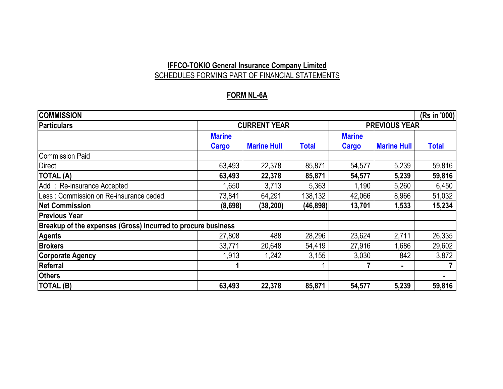## **IFFCO-TOKIO General Insurance Company Limited** SCHEDULES FORMING PART OF FINANCIAL STATEMENTS

### **FORM NL-6A**

| <b>COMMISSION</b>                                            |                        |                     |              |                               |                      |              |  |  |  |  |
|--------------------------------------------------------------|------------------------|---------------------|--------------|-------------------------------|----------------------|--------------|--|--|--|--|
| <b>Particulars</b>                                           |                        | <b>CURRENT YEAR</b> |              |                               | <b>PREVIOUS YEAR</b> |              |  |  |  |  |
|                                                              | <b>Marine</b><br>Cargo | <b>Marine Hull</b>  | <b>Total</b> | <b>Marine</b><br><b>Cargo</b> | <b>Marine Hull</b>   | <b>Total</b> |  |  |  |  |
| <b>Commission Paid</b>                                       |                        |                     |              |                               |                      |              |  |  |  |  |
| <b>Direct</b>                                                | 63,493                 | 22,378              | 85,871       | 54,577                        | 5,239                | 59,816       |  |  |  |  |
| <b>TOTAL (A)</b>                                             | 63,493                 | 22,378              | 85,871       | 54,577                        | 5,239                | 59,816       |  |  |  |  |
| Add: Re-insurance Accepted                                   | 1,650                  | 3,713               | 5,363        | 1,190                         | 5,260                | 6,450        |  |  |  |  |
| Less: Commission on Re-insurance ceded                       | 73,841                 | 64,291              | 138,132      | 42,066                        | 8,966                | 51,032       |  |  |  |  |
| <b>Net Commission</b>                                        | (8,698)                | (38, 200)           | (46, 898)    | 13,701                        | 1,533                | 15,234       |  |  |  |  |
| <b>Previous Year</b>                                         |                        |                     |              |                               |                      |              |  |  |  |  |
| Breakup of the expenses (Gross) incurred to procure business |                        |                     |              |                               |                      |              |  |  |  |  |
| <b>Agents</b>                                                | 27,808                 | 488                 | 28,296       | 23,624                        | 2,711                | 26,335       |  |  |  |  |
| <b>Brokers</b>                                               | 33,771                 | 20,648              | 54,419       | 27,916                        | 1,686                | 29,602       |  |  |  |  |
| <b>Corporate Agency</b>                                      | 1,913                  | 1,242               | 3,155        | 3,030                         | 842                  | 3,872        |  |  |  |  |
| Referral                                                     |                        |                     |              |                               | $\blacksquare$       |              |  |  |  |  |
| <b>Others</b>                                                |                        |                     |              |                               |                      | ۰            |  |  |  |  |
| <b>TOTAL (B)</b>                                             | 63,493                 | 22,378              | 85,871       | 54,577                        | 5,239                | 59,816       |  |  |  |  |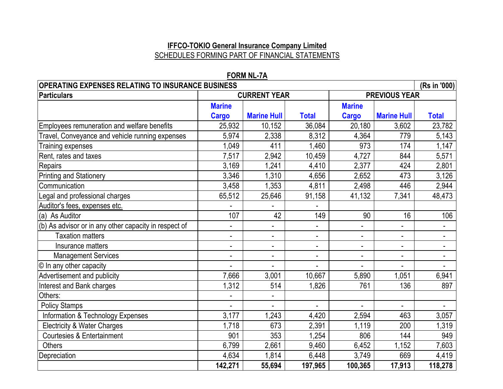### **IFFCO-TOKIO General Insurance Company Limited** SCHEDULES FORMING PART OF FINANCIAL STATEMENTS

| <b>OPERATING EXPENSES RELATING TO INSURANCE BUSINESS</b> |                          |                          |                |                |                      | (Rs in '000) |
|----------------------------------------------------------|--------------------------|--------------------------|----------------|----------------|----------------------|--------------|
| <b>Particulars</b>                                       |                          | <b>CURRENT YEAR</b>      |                |                | <b>PREVIOUS YEAR</b> |              |
|                                                          | <b>Marine</b>            |                          |                | <b>Marine</b>  |                      |              |
|                                                          | <b>Cargo</b>             | <b>Marine Hull</b>       | <b>Total</b>   | <b>Cargo</b>   | <b>Marine Hull</b>   | <b>Total</b> |
| Employees remuneration and welfare benefits              | 25,932                   | 10,152                   | 36,084         | 20,180         | 3,602                | 23,782       |
| Travel, Conveyance and vehicle running expenses          | 5,974                    | 2,338                    | 8,312          | 4,364          | 779                  | 5,143        |
| Training expenses                                        | 1,049                    | 411                      | 1,460          | 973            | 174                  | 1,147        |
| Rent, rates and taxes                                    | 7,517                    | 2,942                    | 10,459         | 4,727          | 844                  | 5,571        |
| <b>Repairs</b>                                           | 3,169                    | 1,241                    | 4,410          | 2,377          | 424                  | 2,801        |
| <b>Printing and Stationery</b>                           | 3,346                    | 1,310                    | 4,656          | 2,652          | 473                  | 3,126        |
| Communication                                            | 3,458                    | 1,353                    | 4,811          | 2,498          | 446                  | 2,944        |
| Legal and professional charges                           | 65,512                   | 25,646                   | 91,158         | 41,132         | 7,341                | 48,473       |
| Auditor's fees, expenses etc.                            |                          |                          |                |                |                      |              |
| (a) As Auditor                                           | 107                      | 42                       | 149            | 90             | 16                   | 106          |
| (b) As advisor or in any other capacity in respect of    | $\blacksquare$           | $\blacksquare$           |                |                |                      |              |
| <b>Taxation matters</b>                                  | $\blacksquare$           | $\blacksquare$           | $\blacksquare$ | $\blacksquare$ | ۰                    |              |
| Insurance matters                                        | $\blacksquare$           | $\blacksquare$           |                | $\blacksquare$ | $\blacksquare$       |              |
| <b>Management Services</b>                               | $\overline{\phantom{0}}$ | $\overline{\phantom{0}}$ | $\blacksquare$ | $\blacksquare$ | $\frac{1}{2}$        |              |
| © In any other capacity                                  |                          |                          |                |                |                      |              |
| Advertisement and publicity                              | 7,666                    | 3,001                    | 10,667         | 5,890          | 1,051                | 6,941        |
| Interest and Bank charges                                | 1,312                    | 514                      | 1,826          | 761            | 136                  | 897          |
| Others:                                                  |                          | $\blacksquare$           |                |                |                      |              |
| <b>Policy Stamps</b>                                     |                          | $\blacksquare$           | $\blacksquare$ | $\blacksquare$ | $\blacksquare$       |              |
| <b>Information &amp; Technology Expenses</b>             | 3,177                    | 1,243                    | 4,420          | 2,594          | 463                  | 3,057        |
| <b>Electricity &amp; Water Charges</b>                   | 1,718                    | 673                      | 2,391          | 1,119          | 200                  | 1,319        |
| <b>Courtesies &amp; Entertainment</b>                    | 901                      | 353                      | 1,254          | 806            | 144                  | 949          |
| <b>Others</b>                                            | 6,799                    | 2,661                    | 9,460          | 6,452          | 1,152                | 7,603        |
| Depreciation                                             | 4,634                    | 1,814                    | 6,448          | 3,749          | 669                  | 4,419        |
|                                                          | 142,271                  | 55,694                   | 197,965        | 100,365        | 17,913               | 118,278      |

### **FORM NL-7A**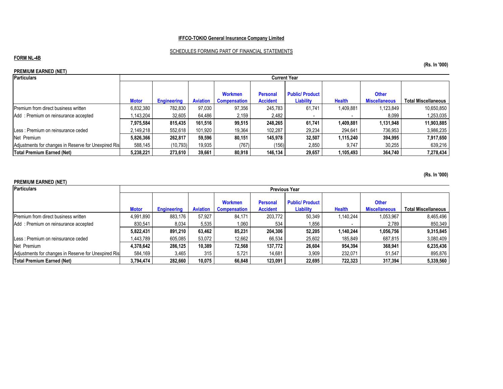#### SCHEDULES FORMING PART OF FINANCIAL STATEMENTS

#### **FORM NL-4B**

#### **PREMIUM EARNED (NET)**

| <b>Particulars</b>                                   |              | <b>Current Year</b> |                 |                     |                 |                       |               |                      |                            |  |  |
|------------------------------------------------------|--------------|---------------------|-----------------|---------------------|-----------------|-----------------------|---------------|----------------------|----------------------------|--|--|
|                                                      |              |                     |                 |                     |                 |                       |               |                      |                            |  |  |
|                                                      |              |                     |                 | <b>Workmen</b>      | <b>Personal</b> | <b>Public/Product</b> |               | <b>Other</b>         |                            |  |  |
|                                                      | <b>Motor</b> | <b>Engineering</b>  | <b>Aviation</b> | <b>Compensation</b> | <b>Accident</b> | Liability             | <b>Health</b> | <b>Miscellaneous</b> | <b>Total Miscellaneous</b> |  |  |
| Premium from direct business written                 | 6.832.380    | 782.830             | 97.030          | 97.356              | 245.783         | 61.741                | 1,409,881     | 1,123,849            | 10,650,850                 |  |  |
| Add: Premium on reinsurance accepted                 | .143.204     | 32,605              | 64,486          | 2,159               | 2,482           |                       |               | 8,099                | 1,253,035                  |  |  |
|                                                      | 7,975,584    | 815.435             | 161,516         | 99,515              | 248.265         | 61.741                | 1,409,881     | 1,131,948            | 11,903,885                 |  |  |
| Less: Premium on reinsurance ceded                   | 2,149,218    | 552,618             | 101,920         | 19,364              | 102,287         | 29,234                | 294.641       | 736,953              | 3,986,235                  |  |  |
| Net Premium                                          | 5,826,366    | 262,817             | 59,596          | 80.151              | 145.978         | 32,507                | 1,115,240     | 394,995              | 7,917,650                  |  |  |
| Adjustments for changes in Reserve for Unexpired Ris | 588,145      | (10, 793)           | 19,935          | (767)               | (156)           | 2,850                 | 9,747         | 30,255               | 639,216                    |  |  |
| Total Premium Earned (Net)                           | 5,238,221    | 273.610             | 39.661          | 80.918              | 146.134         | 29.657                | 1,105,493     | 364.740              | 7,278,434                  |  |  |

#### **PREMIUM EARNED (NET)**

| Particulars                                          |              | <b>Previous Year</b> |                 |                                       |                                    |                                    |               |                                      |                            |  |
|------------------------------------------------------|--------------|----------------------|-----------------|---------------------------------------|------------------------------------|------------------------------------|---------------|--------------------------------------|----------------------------|--|
|                                                      | <b>Motor</b> | <b>Engineering</b>   | <b>Aviation</b> | <b>Workmen</b><br><b>Compensation</b> | <b>Personal</b><br><b>Accident</b> | <b>Public/Product</b><br>Liability | <b>Health</b> | <b>Other</b><br><b>Miscellaneous</b> | <b>Total Miscellaneous</b> |  |
| <b>Premium from direct business written</b>          | 4,991,890    | 883.176              | 57.927          | 84.171                                | 203.772                            | 50.349                             | 1,140,244     | 1,053,967                            | 8,465,496                  |  |
| Add: Premium on reinsurance accepted                 | 830.541      | 8,034                | 5,535           | 1,060                                 | 534                                | 1.856                              |               | 2,789                                | 850,349                    |  |
|                                                      | 5.822.431    | 891.210              | 63.462          | 85.231                                | 204.306                            | 52.205                             | 1,140,244     | 1,056,756                            | 9,315,845                  |  |
| Less: Premium on reinsurance ceded                   | 1.443.789    | 605.085              | 53,072          | 12,662                                | 66,534                             | 25,602                             | 185,849       | 687,815                              | 3,080,409                  |  |
| Net Premium                                          | 4,378,642    | 286.125              | 10.389          | 72.568                                | 137.772                            | 26.604                             | 954.394       | 368.941                              | 6,235,436                  |  |
| Adjustments for changes in Reserve for Unexpired Ris | 584,169      | 3,465                | 315             | 5,721                                 | 14.681                             | 3,909                              | 232.071       | 51.547                               | 895,876                    |  |
| Total Premium Earned (Net)                           | 3.794.474    | 282.660              | 10.075          | 66.848                                | 123.091                            | 22.695                             | 722.323       | 317.394                              | 5,339,560                  |  |

**(Rs. In '000)**

**(Rs. In '000)**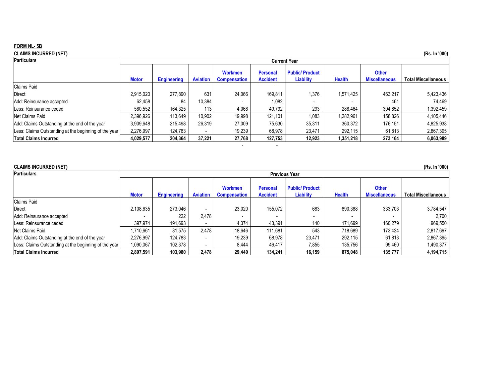#### **FORM NL- 5B**

| CLAIMS INCURRED (NET) |  |
|-----------------------|--|
|-----------------------|--|

| <b>CLAIMS INCURRED (NET)</b>                          |              |                     |                 |                                       |                                    |                                    |               |                                      | (Rs. In '000)              |  |  |
|-------------------------------------------------------|--------------|---------------------|-----------------|---------------------------------------|------------------------------------|------------------------------------|---------------|--------------------------------------|----------------------------|--|--|
| <b>Particulars</b>                                    |              | <b>Current Year</b> |                 |                                       |                                    |                                    |               |                                      |                            |  |  |
|                                                       | <b>Motor</b> | <b>Engineering</b>  | <b>Aviation</b> | <b>Workmen</b><br><b>Compensation</b> | <b>Personal</b><br><b>Accident</b> | <b>Public/Product</b><br>Liability | <b>Health</b> | <b>Other</b><br><b>Miscellaneous</b> | <b>Total Miscellaneous</b> |  |  |
| <b>Claims Paid</b>                                    |              |                     |                 |                                       |                                    |                                    |               |                                      |                            |  |  |
| <b>Direct</b>                                         | 2,915,020    | 277.890             | 631             | 24,066                                | 169,811                            | 1,376                              | 1,571,425     | 463,217                              | 5,423,436                  |  |  |
| Add: Reinsurance accepted                             | 62,458       | 84                  | 10,384          |                                       | 1,082                              |                                    |               | 461                                  | 74,469                     |  |  |
| Less: Reinsurance ceded                               | 580,552      | 164,325             | 113             | 4,068                                 | 49,792                             | 293                                | 288,464       | 304,852                              | 1,392,459                  |  |  |
| Net Claims Paid                                       | 2,396,926    | 113.649             | 10,902          | 19.998                                | 121.101                            | 1,083                              | 1.282.961     | 158.826                              | 4,105,446                  |  |  |
| Add: Claims Outstanding at the end of the year        | 3,909,648    | 215.498             | 26,319          | 27,009                                | 75,630                             | 35,311                             | 360,372       | 176,151                              | 4,825,938                  |  |  |
| Less: Claims Outstanding at the beginning of the year | 2,276,997    | 124,783             |                 | 19,239                                | 68,978                             | 23,471                             | 292,115       | 61,813                               | 2,867,395                  |  |  |
| <b>Total Claims Incurred</b>                          | 4,029,577    | 204,364             | 37,221          | 27,768                                | 127,753                            | 12,923                             | 1,351,218     | 273,164                              | 6,063,989                  |  |  |
|                                                       |              |                     |                 |                                       |                                    |                                    |               |                                      |                            |  |  |

| <b>CLAIMS INCURRED (NET)</b><br>(Rs. In '000)         |              |                      |                 |                                       |                                    |                                    |               |                                      |                            |  |  |
|-------------------------------------------------------|--------------|----------------------|-----------------|---------------------------------------|------------------------------------|------------------------------------|---------------|--------------------------------------|----------------------------|--|--|
| <b>Particulars</b>                                    |              | <b>Previous Year</b> |                 |                                       |                                    |                                    |               |                                      |                            |  |  |
|                                                       | <b>Motor</b> | <b>Engineering</b>   | <b>Aviation</b> | <b>Workmen</b><br><b>Compensation</b> | <b>Personal</b><br><b>Accident</b> | <b>Public/Product</b><br>Liability | <b>Health</b> | <b>Other</b><br><b>Miscellaneous</b> | <b>Total Miscellaneous</b> |  |  |
| <b>Claims Paid</b>                                    |              |                      |                 |                                       |                                    |                                    |               |                                      |                            |  |  |
| Direct                                                | 2,108,635    | 273.046              |                 | 23,020                                | 155,072                            | 683                                | 890.388       | 333,703                              | 3,784,547                  |  |  |
| Add: Reinsurance accepted                             |              | 222                  | 2,478           |                                       |                                    |                                    |               |                                      | 2.700                      |  |  |
| Less: Reinsurance ceded                               | 397.974      | 191.693              |                 | 4.374                                 | 43.391                             | 140                                | 171.699       | 160.279                              | 969,550                    |  |  |
| Net Claims Paid                                       | 1,710,661    | 81,575               | 2.478           | 18.646                                | 111.681                            | 543                                | 718.689       | 173,424                              | 2,817,697                  |  |  |
| Add: Claims Outstanding at the end of the year        | 2,276,997    | 124,783              |                 | 19,239                                | 68,978                             | 23,471                             | 292.115       | 61,813                               | 2,867,395                  |  |  |
| Less: Claims Outstanding at the beginning of the year | 1,090,067    | 102,378              |                 | 8,444                                 | 46.417                             | 7,855                              | 135,756       | 99,460                               | 1,490,377                  |  |  |
| <b>Total Claims Incurred</b>                          | 2,897,591    | 103.980              | 2.478           | 29,440                                | 134,241                            | 16.159                             | 875.048       | 135,777                              | 4,194,715                  |  |  |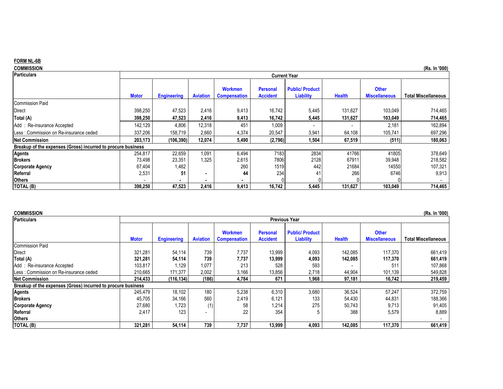#### **FORM NL-6B**

| <b>COMMISSION</b>                                            |              |                    |                 |                                       |                                    |                                           |               |                                      | (Rs. In '000)              |
|--------------------------------------------------------------|--------------|--------------------|-----------------|---------------------------------------|------------------------------------|-------------------------------------------|---------------|--------------------------------------|----------------------------|
| <b>Particulars</b>                                           |              |                    |                 |                                       | <b>Current Year</b>                |                                           |               |                                      |                            |
|                                                              | <b>Motor</b> | <b>Engineering</b> | <b>Aviation</b> | <b>Workmen</b><br><b>Compensation</b> | <b>Personal</b><br><b>Accident</b> | <b>Public/Product</b><br><b>Liability</b> | <b>Health</b> | <b>Other</b><br><b>Miscellaneous</b> | <b>Total Miscellaneous</b> |
| <b>Commission Paid</b>                                       |              |                    |                 |                                       |                                    |                                           |               |                                      |                            |
| <b>Direct</b>                                                | 398,250      | 47,523             | 2,416           | 9,413                                 | 16,742                             | 5,445                                     | 131,627       | 103,049                              | 714,465                    |
| Total (A)                                                    | 398,250      | 47,523             | 2,416           | 9,413                                 | 16,742                             | 5,445                                     | 131,627       | 103,049                              | 714,465                    |
| Add: Re-insurance Accepted                                   | 142,129      | 4,806              | 12,318          | 451                                   | 1,009                              |                                           |               | 2,181                                | 162,894                    |
| Less: Commission on Re-insurance ceded                       | 337,206      | 158,719            | 2,660           | 4,374                                 | 20,547                             | 3,941                                     | 64,108        | 105,741                              | 697,296                    |
| <b>Net Commission</b>                                        | 203,173      | (106, 390)         | 12,074          | 5,490                                 | (2,796)                            | 1,504                                     | 67,519        | (511)                                | 180,063                    |
| Breakup of the expenses (Gross) incurred to procure business |              |                    |                 |                                       |                                    |                                           |               |                                      |                            |
| <b>Agents</b>                                                | 254,817      | 22,659             | 1,091           | 6,494                                 | 7183                               | 2834                                      | 41766         | 41805                                | 378,649                    |
| <b>Brokers</b>                                               | 73,498       | 23,351             | 1,325           | 2,615                                 | 7806                               | 2128                                      | 67911         | 39,948                               | 218,582                    |
| <b>Corporate Agency</b>                                      | 67,404       | 1,462              |                 | 260                                   | 1519                               | 442                                       | 21684         | 14550                                | 107,321                    |
| Referral                                                     | 2,531        | 51                 | -               | 44                                    | 234                                | 41                                        | 266           | 6746                                 | 9,913                      |
| <b>Others</b>                                                |              |                    |                 |                                       |                                    |                                           |               |                                      |                            |
| <b>TOTAL (B)</b>                                             | 398,250      | 47,523             | 2,416           | 9,413                                 | 16,742                             | 5,445                                     | 131,627       | 103,049                              | 714,465                    |

| <b>COMMISSION</b>                                            |              |                    |                 |                     |                      |                       |               |                      | (Rs. In '000)              |
|--------------------------------------------------------------|--------------|--------------------|-----------------|---------------------|----------------------|-----------------------|---------------|----------------------|----------------------------|
| <b>Particulars</b>                                           |              |                    |                 |                     | <b>Previous Year</b> |                       |               |                      |                            |
|                                                              |              |                    |                 |                     |                      |                       |               |                      |                            |
|                                                              |              |                    |                 | <b>Workmen</b>      | <b>Personal</b>      | <b>Public/Product</b> |               | <b>Other</b>         |                            |
|                                                              | <b>Motor</b> | <b>Engineering</b> | <b>Aviation</b> | <b>Compensation</b> | <b>Accident</b>      | <b>Liability</b>      | <b>Health</b> | <b>Miscellaneous</b> | <b>Total Miscellaneous</b> |
| <b>Commission Paid</b>                                       |              |                    |                 |                     |                      |                       |               |                      |                            |
| Direct                                                       | 321,281      | 54,114             | 739             | 7,737               | 13,999               | 4,093                 | 142,085       | 117,370              | 661,419                    |
| Total (A)                                                    | 321,281      | 54,114             | 739             | 7,737               | 13,999               | 4,093                 | 142.085       | 117,370              | 661,419                    |
| Add: Re-insurance Accepted                                   | 103,817      | 1,129              | 1,077           | 213                 | 528                  | 593                   |               | $51^{\circ}$         | 107,868                    |
| Less: Commission on Re-insurance ceded                       | 210,665      | 171,377            | 2,002           | 3,166               | 13,856               | 2,718                 | 44,904        | 101,139              | 549,828                    |
| <b>Net Commission</b>                                        | 214,433      | (116, 134)         | (186)           | 4,784               | 671                  | 1,968                 | 97,181        | 16,742               | 219,459                    |
| Breakup of the expenses (Gross) incurred to procure business |              |                    |                 |                     |                      |                       |               |                      |                            |
| <b>Agents</b>                                                | 245,479      | 18,102             | 180             | 5,238               | 6,310                | 3,680                 | 36,524        | 57,247               | 372,759                    |
| <b>Brokers</b>                                               | 45,705       | 34,166             | 560             | 2,419               | 6,121                | 133                   | 54,430        | 44,831               | 188,366                    |
| Corporate Agency                                             | 27,680       | 1,723              | (1)             | 58                  | 1,214                | 275                   | 50,743        | 9,713                | 91,405                     |
| Referral                                                     | 2,417        | 123                |                 | 22                  | 354                  |                       | 388           | 5,579                | 8,889                      |
| <b>Others</b>                                                |              |                    |                 |                     |                      |                       |               |                      |                            |
| <b>TOTAL (B)</b>                                             | 321.281      | 54,114             | 739             | 7.737               | 13.999               | 4,093                 | 142.085       | 117.370              | 661,419                    |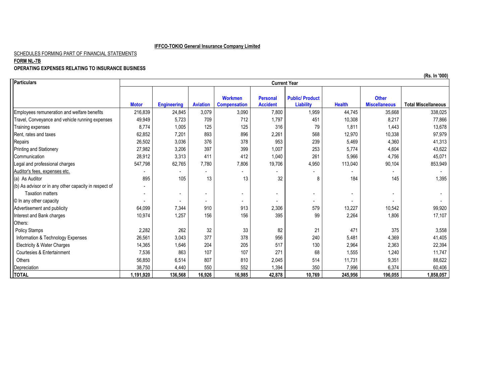#### SCHEDULES FORMING PART OF FINANCIAL STATEMENTS

#### **FORM NL-7B**

#### **OPERATING EXPENSES RELATING TO INSURANCE BUSINESS**

|                                                       | (Rs. In '000) |                    |                 |                                       |                                    |                                           |               |                                      |                            |  |
|-------------------------------------------------------|---------------|--------------------|-----------------|---------------------------------------|------------------------------------|-------------------------------------------|---------------|--------------------------------------|----------------------------|--|
| <b>T</b> Particulars                                  |               |                    |                 |                                       | <b>Current Year</b>                |                                           |               |                                      |                            |  |
|                                                       | <b>Motor</b>  | <b>Engineering</b> | <b>Aviation</b> | <b>Workmen</b><br><b>Compensation</b> | <b>Personal</b><br><b>Accident</b> | <b>Public/Product</b><br><b>Liability</b> | <b>Health</b> | <b>Other</b><br><b>Miscellaneous</b> | <b>Total Miscellaneous</b> |  |
| Employees remuneration and welfare benefits           | 216,839       | 24,845             | 3,079           | 3,090                                 | 7,800                              | 1,959                                     | 44,745        | 35,668                               | 338,025                    |  |
| Travel, Conveyance and vehicle running expenses       | 49,949        | 5,723              | 709             | 712                                   | 1,797                              | 451                                       | 10,308        | 8,217                                | 77,866                     |  |
| Training expenses                                     | 8,774         | 1,005              | 125             | 125                                   | 316                                | 79                                        | 1,811         | 1,443                                | 13,678                     |  |
| Rent. rates and taxes                                 | 62,852        | 7,201              | 893             | 896                                   | 2,261                              | 568                                       | 12,970        | 10,338                               | 97,979                     |  |
| Repairs                                               | 26,502        | 3,036              | 376             | 378                                   | 953                                | 239                                       | 5,469         | 4,360                                | 41,313                     |  |
| Printing and Stationery                               | 27,982        | 3,206              | 397             | 399                                   | 1,007                              | 253                                       | 5,774         | 4,604                                | 43,622                     |  |
| Communication                                         | 28,912        | 3,313              | 411             | 412                                   | 1,040                              | 261                                       | 5,966         | 4,756                                | 45,071                     |  |
| Legal and professional charges                        | 547,798       | 62,765             | 7,780           | 7,806                                 | 19,706                             | 4,950                                     | 113,040       | 90,104                               | 853,949                    |  |
| Auditor's fees, expenses etc.                         |               |                    |                 |                                       |                                    |                                           |               |                                      |                            |  |
| (a) As Auditor                                        | 895           | 105                | 13              | 13                                    | 32                                 | 8                                         | 184           | 145                                  | 1,395                      |  |
| (b) As advisor or in any other capacity in respect of |               |                    |                 |                                       |                                    |                                           |               |                                      |                            |  |
| <b>Taxation matters</b>                               |               |                    |                 |                                       |                                    |                                           |               |                                      |                            |  |
| © In any other capacity                               |               | ۰                  |                 | $\sim$                                |                                    | $\sim$                                    |               |                                      |                            |  |
| Advertisement and publicity                           | 64,099        | 7,344              | 910             | 913                                   | 2,306                              | 579                                       | 13,227        | 10,542                               | 99,920                     |  |
| Interest and Bank charges                             | 10,974        | 1,257              | 156             | 156                                   | 395                                | 99                                        | 2,264         | 1,806                                | 17,107                     |  |
| Others:                                               |               |                    |                 |                                       |                                    |                                           |               |                                      |                            |  |
| <b>Policy Stamps</b>                                  | 2,282         | 262                | 32              | 33                                    | 82                                 | 21                                        | 471           | 375                                  | 3,558                      |  |
| Information & Technology Expenses                     | 26,561        | 3,043              | 377             | 378                                   | 956                                | 240                                       | 5,481         | 4,369                                | 41,405                     |  |
| Electricity & Water Charges                           | 14,365        | 1,646              | 204             | 205                                   | 517                                | 130                                       | 2,964         | 2,363                                | 22,394                     |  |
| Courtesies & Entertainment                            | 7,536         | 863                | 107             | 107                                   | 271                                | 68                                        | 1,555         | 1,240                                | 11,747                     |  |
| Others                                                | 56,850        | 6,514              | 807             | 810                                   | 2,045                              | 514                                       | 11,731        | 9,351                                | 88,622                     |  |
| Depreciation                                          | 38,750        | 4,440              | 550             | 552                                   | 1,394                              | 350                                       | 7,996         | 6,374                                | 60,406                     |  |
| <b>TOTAL</b>                                          | 1,191,920     | 136,568            | 16,926          | 16,985                                | 42,878                             | 10,769                                    | 245,956       | 196,055                              | 1,858,057                  |  |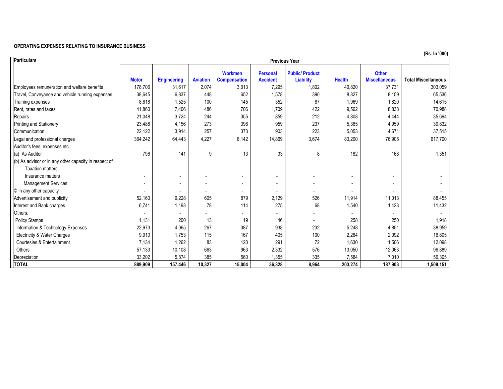#### **OPERATING EXPENSES RELATING TO INSURANCE BUSINESS**

| Particulars                                           |                          |                    |                 |                                       | <b>Previous Year</b>               |                                           |                          |                                      | (13. 111 VVV)              |
|-------------------------------------------------------|--------------------------|--------------------|-----------------|---------------------------------------|------------------------------------|-------------------------------------------|--------------------------|--------------------------------------|----------------------------|
|                                                       | <b>Motor</b>             | <b>Engineering</b> | <b>Aviation</b> | <b>Workmen</b><br><b>Compensation</b> | <b>Personal</b><br><b>Accident</b> | <b>Public/Product</b><br><b>Liability</b> | <b>Health</b>            | <b>Other</b><br><b>Miscellaneous</b> | <b>Total Miscellaneous</b> |
| Employees remuneration and welfare benefits           | 178,706                  | 31,617             | 2,074           | 3,013                                 | 7,295                              | 1,802                                     | 40,820                   | 37,731                               | 303,059                    |
| Travel, Conveyance and vehicle running expenses       | 38,645                   | 6,837              | 448             | 652                                   | 1,578                              | 390                                       | 8,827                    | 8,159                                | 65,536                     |
| Training expenses                                     | 8,618                    | 1,525              | 100             | 145                                   | 352                                | 87                                        | 1,969                    | 1,820                                | 14,615                     |
| Rent, rates and taxes                                 | 41,860                   | 7,406              | 486             | 706                                   | 1,709                              | 422                                       | 9,562                    | 8,838                                | 70,988                     |
| Repairs                                               | 21,048                   | 3,724              | 244             | 355                                   | 859                                | 212                                       | 4,808                    | 4,444                                | 35,694                     |
| Printing and Stationery                               | 23,488                   | 4,156              | 273             | 396                                   | 959                                | 237                                       | 5,365                    | 4,959                                | 39,832                     |
| Communication                                         | 22,122                   | 3,914              | 257             | 373                                   | 903                                | 223                                       | 5,053                    | 4,671                                | 37,515                     |
| Legal and professional charges                        | 364,242                  | 64,443             | 4,227           | 6,142                                 | 14,869                             | 3,674                                     | 83,200                   | 76,905                               | 617,700                    |
| Auditor's fees, expenses etc.                         |                          |                    |                 |                                       |                                    |                                           |                          |                                      |                            |
| (a) As Auditor                                        | 796                      | 141                | 9               | 13                                    | 33                                 | 8                                         | 182                      | 168                                  | 1,351                      |
| (b) As advisor or in any other capacity in respect of |                          |                    |                 |                                       |                                    |                                           |                          |                                      |                            |
| <b>Taxation matters</b>                               | $\overline{\phantom{a}}$ |                    |                 |                                       |                                    |                                           | $\overline{\phantom{a}}$ |                                      |                            |
| Insurance matters                                     | $\overline{\phantom{a}}$ | $\blacksquare$     |                 |                                       |                                    | $\blacksquare$                            | $\overline{\phantom{a}}$ |                                      |                            |
| <b>Management Services</b>                            |                          |                    |                 |                                       |                                    |                                           |                          |                                      |                            |
| © In any other capacity                               |                          |                    |                 |                                       |                                    |                                           |                          |                                      |                            |
| Advertisement and publicity                           | 52,160                   | 9,228              | 605             | 879                                   | 2,129                              | 526                                       | 11,914                   | 11,013                               | 88,455                     |
| Interest and Bank charges                             | 6,741                    | 1,193              | 78              | 114                                   | 275                                | 68                                        | 1,540                    | 1,423                                | 11,432                     |
| Others:                                               |                          |                    |                 |                                       |                                    |                                           |                          |                                      |                            |
| <b>Policy Stamps</b>                                  | 1,131                    | 200                | 13              | 19                                    | 46                                 |                                           | 258                      | 250                                  | 1,918                      |
| Information & Technology Expenses                     | 22,973                   | 4,065              | 267             | 387                                   | 938                                | 232                                       | 5,248                    | 4,851                                | 38,959                     |
| <b>Electricity &amp; Water Charges</b>                | 9,910                    | 1,753              | 115             | 167                                   | 405                                | 100                                       | 2,264                    | 2,092                                | 16,805                     |
| Courtesies & Entertainment                            | 7,134                    | 1,262              | 83              | 120                                   | 291                                | 72                                        | 1,630                    | 1,506                                | 12,098                     |
| Others                                                | 57,133                   | 10,108             | 663             | 963                                   | 2,332                              | 576                                       | 13,050                   | 12,063                               | 96,889                     |
| Depreciation                                          | 33,202                   | 5,874              | 385             | 560                                   | 1,355                              | 335                                       | 7,584                    | 7,010                                | 56,305                     |
| <b>TOTAL</b>                                          | 889,909                  | 157,446            | 10,327          | 15,004                                | 36,328                             | 8,964                                     | 203,274                  | 187,903                              | 1,509,151                  |

**(Rs. In '000)**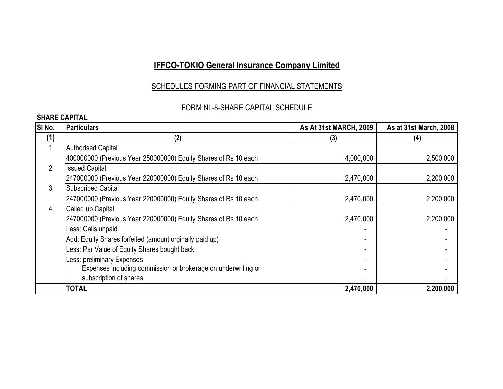### SCHEDULES FORMING PART OF FINANCIAL STATEMENTS

### FORM NL-8-SHARE CAPITAL SCHEDULE

### **SHARE CAPITAL**

| SI <sub>No.</sub> | <b>Particulars</b>                                              | <b>As At 31st MARCH, 2009</b> | As at 31st March, 2008 |
|-------------------|-----------------------------------------------------------------|-------------------------------|------------------------|
| (1)               | (2)                                                             | (3)                           | (4)                    |
|                   | <b>Authorised Capital</b>                                       |                               |                        |
|                   | 400000000 (Previous Year 250000000) Equity Shares of Rs 10 each | 4,000,000                     | 2,500,000              |
| $\overline{2}$    | <b>Issued Capital</b>                                           |                               |                        |
|                   | 247000000 (Previous Year 220000000) Equity Shares of Rs 10 each | 2,470,000                     | 2,200,000              |
| 3                 | <b>Subscribed Capital</b>                                       |                               |                        |
|                   | 247000000 (Previous Year 220000000) Equity Shares of Rs 10 each | 2,470,000                     | 2,200,000              |
| 4                 | Called up Capital                                               |                               |                        |
|                   | 247000000 (Previous Year 220000000) Equity Shares of Rs 10 each | 2,470,000                     | 2,200,000              |
|                   | Less: Calls unpaid                                              |                               |                        |
|                   | Add: Equity Shares forfeited (amount orginally paid up)         |                               |                        |
|                   | Less: Par Value of Equity Shares bought back                    |                               |                        |
|                   | Less: preliminary Expenses                                      |                               |                        |
|                   | Expenses including commission or brokerage on underwriting or   |                               |                        |
|                   | subscription of shares                                          |                               |                        |
|                   | TOTAL                                                           | 2,470,000                     | 2,200,000              |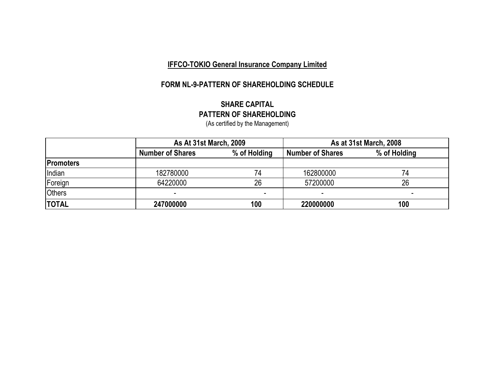### **FORM NL-9-PATTERN OF SHAREHOLDING SCHEDULE**

#### **SHARE CAPITAL PATTERN OF SHAREHOLDING** (As certified by the Management)

|                  | <b>As At 31st March, 2009</b> |              | As at 31st March, 2008  |              |  |
|------------------|-------------------------------|--------------|-------------------------|--------------|--|
|                  | <b>Number of Shares</b>       | % of Holding | <b>Number of Shares</b> | % of Holding |  |
| <b>Promoters</b> |                               |              |                         |              |  |
| Indian           | 182780000                     | 74           | 162800000               |              |  |
| Foreign          | 64220000                      | 26           | 57200000                | 26           |  |
| <b>Others</b>    |                               |              |                         |              |  |
| <b>TOTAL</b>     | 247000000                     | 100          | 220000000               | 100          |  |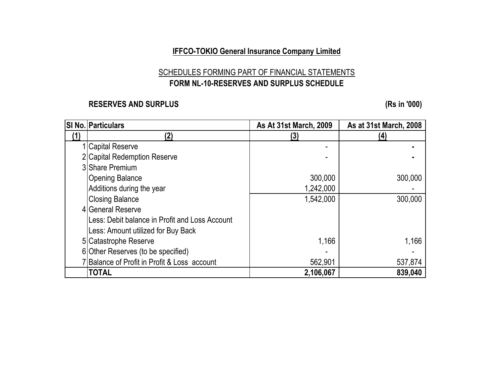## SCHEDULES FORMING PART OF FINANCIAL STATEMENTS **FORM NL-10-RESERVES AND SURPLUS SCHEDULE**

### **RESERVES AND SURPLUS (Rs in '000)**

|            | <b>SI No. Particulars</b>                       | As At 31st March, 2009 | As at 31st March, 2008 |
|------------|-------------------------------------------------|------------------------|------------------------|
| <u>(1)</u> | (2)                                             | (3)                    | (4)                    |
|            | 1 Capital Reserve                               |                        |                        |
|            | 2 Capital Redemption Reserve                    |                        |                        |
|            | 3 Share Premium                                 |                        |                        |
|            | <b>Opening Balance</b>                          | 300,000                | 300,000                |
|            | Additions during the year                       | 1,242,000              |                        |
|            | <b>Closing Balance</b>                          | 1,542,000              | 300,000                |
|            | 4 General Reserve                               |                        |                        |
|            | ILess: Debit balance in Profit and Loss Account |                        |                        |
|            | Less: Amount utilized for Buy Back              |                        |                        |
|            | 5 Catastrophe Reserve                           | 1,166                  | 1,166                  |
|            | 6 Other Reserves (to be specified)              |                        |                        |
|            | 7 Balance of Profit in Profit & Loss account    | 562,901                | 537,874                |
|            | <b>TOTAL</b>                                    | 2,106,067              | 839,040                |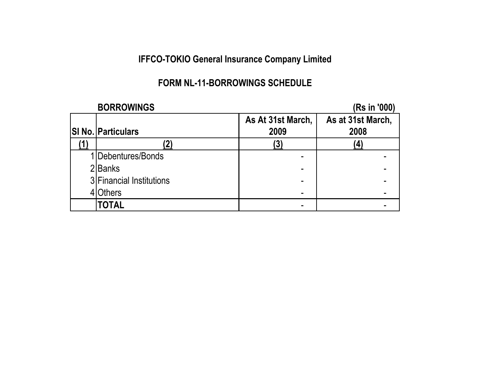## **FORM NL-11-BORROWINGS SCHEDULE**

| <b>BORROWINGS</b>         |                   | (Rs in '000)      |
|---------------------------|-------------------|-------------------|
|                           | As At 31st March, | As at 31st March, |
| <b>SI No. Particulars</b> | 2009              | 2008              |
| 2)                        | (3)               |                   |
| 1 Debentures/Bonds        |                   |                   |
| 2 Banks                   |                   |                   |
| 3 Financial Institutions  |                   |                   |
| <b>Others</b>             |                   |                   |
| <b>TOTAL</b>              |                   |                   |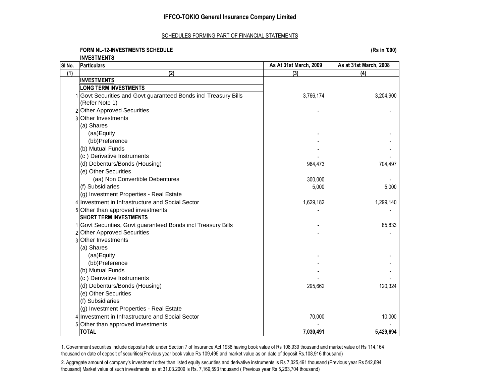#### SCHEDULES FORMING PART OF FINANCIAL STATEMENTS

#### **FORM NL-12-INVESTMENTS SCHEDULE (Rs in '000) INVESTMENTS**

**SI No. Particulars As At 31st March, 2009 As at 31st March, 2008 (1) (2) (3) (4) INVESTMENTS LONG TERM INVESTMENTS** 1 Govt Securities and Govt guaranteed Bonds incl Treasury Bills 3,766,174 3,204,900 (Refer Note 1) 2 Other Approved Securities - - 3 Other Investments (a) Shares (aa)Equity - - (bb)Preference (b) Mutual Funds (c) Derivative Instruments (d) Debenturs/Bonds (Housing) 964,473 704,497 (e) Other Securities (aa) Non Convertible Debentures 10 and 10 and 10 and 10 and 10 and 10 and 10 and 10 and 10 and 10 and 10 and 10 and 10 and 10 and 10 and 10 and 10 and 10 and 10 and 10 and 10 and 10 and 10 and 10 and 10 and 10 and 10 and 1 (f) Subsidiaries  $5.000$  5.000  $5.000$ (g) Investment Properties - Real Estate 4 Investment in Infrastructure and Social Sector 1, 1,629,182 1,629,182 1,629,182 1,299,140 5 Other than approved investments - - **SHORT TERM INVESTMENTS** 1 Govt Securities, Govt guaranteed Bonds incl Treasury Bills - 85,833 2 Other Approved Securities 3 Other Investments (a) Shares (aa)Equity - -  $(bb)$ Preference (b) Mutual Funds (c) Derivative Instruments (d) Debenturs/Bonds (Housing) 295,662 295,662 120,324 (e) Other Securities (f) Subsidiaries (g) Investment Properties - Real Estate 4 Investment in Infrastructure and Social Sector 70,000 10,000 5 Other than approved investments **TOTAL 7,030,491 5,429,694**

1. Government securities include deposits held under Section 7 of Insurance Act 1938 having book value of Rs 108,939 thousand and market value of Rs 114,164 thousand on date of deposit of securities(Previous year book value Rs 109,495 and market value as on date of deposit Rs.108,916 thousand)

2. Aggregate amount of company's investment other than listed equity securities and derivative instruments is Rs 7,025,491 thousand (Previous year Rs 542,694 thousand) Market value of such investments as at 31.03.2009 is Rs. 7,169,593 thousand ( Previous year Rs 5,263,704 thousand)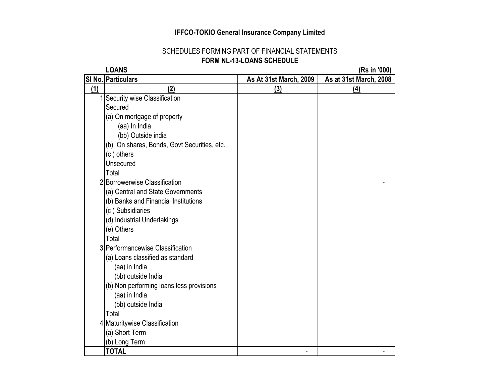#### SCHEDULES FORMING PART OF FINANCIAL STATEMENTS **FORM NL-13-LOANS SCHEDULE**

|     | <b>LOANS</b>                                |                        | (Rs in '000)           |
|-----|---------------------------------------------|------------------------|------------------------|
|     | SI No. Particulars                          | As At 31st March, 2009 | As at 31st March, 2008 |
| (1) | (2)                                         | (3)                    | (4)                    |
|     | Security wise Classification                |                        |                        |
|     | Secured                                     |                        |                        |
|     | (a) On mortgage of property                 |                        |                        |
|     | (aa) In India                               |                        |                        |
|     | (bb) Outside india                          |                        |                        |
|     | (b) On shares, Bonds, Govt Securities, etc. |                        |                        |
|     | (c) others                                  |                        |                        |
|     | Unsecured                                   |                        |                        |
|     | Total                                       |                        |                        |
|     | 2 Borrowerwise Classification               |                        |                        |
|     | (a) Central and State Governments           |                        |                        |
|     | (b) Banks and Financial Institutions        |                        |                        |
|     | (c) Subsidiaries                            |                        |                        |
|     | (d) Industrial Undertakings                 |                        |                        |
|     | (e) Others                                  |                        |                        |
|     | Total                                       |                        |                        |
|     | 3 Performancewise Classification            |                        |                        |
|     | (a) Loans classified as standard            |                        |                        |
|     | (aa) in India                               |                        |                        |
|     | (bb) outside India                          |                        |                        |
|     | (b) Non performing loans less provisions    |                        |                        |
|     | (aa) in India                               |                        |                        |
|     | (bb) outside India                          |                        |                        |
|     | Total                                       |                        |                        |
|     | 4 Maturitywise Classification               |                        |                        |
|     | (a) Short Term                              |                        |                        |
|     | (b) Long Term                               |                        |                        |
|     | <b>TOTAL</b>                                |                        |                        |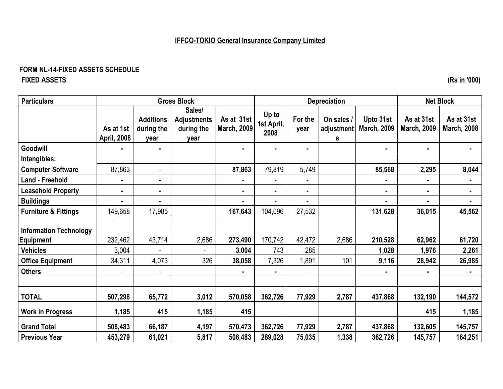### **FORM NL-14-FIXED ASSETS SCHEDULE FIXED ASSETS (Rs in '000)**

| <b>Particulars</b>                                |                                 |                                        | <b>Gross Block</b>                                 |                                  |                             |                 | <b>Depreciation</b>           |                                 |                                  | <b>Net Block</b>                 |
|---------------------------------------------------|---------------------------------|----------------------------------------|----------------------------------------------------|----------------------------------|-----------------------------|-----------------|-------------------------------|---------------------------------|----------------------------------|----------------------------------|
|                                                   | As at 1st<br><b>April, 2008</b> | <b>Additions</b><br>during the<br>year | Sales/<br><b>Adjustments</b><br>during the<br>year | As at 31st<br><b>March, 2009</b> | Up to<br>1st April,<br>2008 | For the<br>year | On sales /<br>adjustment<br>s | Upto 31st<br><b>March, 2009</b> | As at 31st<br><b>March, 2009</b> | As at 31st<br><b>March, 2008</b> |
| Goodwill                                          | ۰.                              | $\blacksquare$                         |                                                    | $\blacksquare$                   | $\blacksquare$              | $\blacksquare$  |                               | $\blacksquare$                  | $\blacksquare$                   | $\blacksquare$                   |
| Intangibles:                                      |                                 |                                        |                                                    |                                  |                             |                 |                               |                                 |                                  |                                  |
| <b>Computer Software</b>                          | 87,863                          | $\overline{\phantom{a}}$               |                                                    | 87,863                           | 79,819                      | 5,749           |                               | 85,568                          | 2,295                            | 8,044                            |
| <b>Land - Freehold</b>                            | ٠                               | ٠                                      |                                                    | Ξ.                               | $\blacksquare$              | $\blacksquare$  |                               |                                 |                                  |                                  |
| <b>Leasehold Property</b>                         | ۰.                              | ۰                                      |                                                    | $\blacksquare$                   |                             | ٠               |                               |                                 | $\blacksquare$                   |                                  |
| <b>Buildings</b>                                  | ٠.                              | ٠.                                     |                                                    | Ξ.                               |                             | $\blacksquare$  |                               |                                 | $\blacksquare$                   |                                  |
| <b>Furniture &amp; Fittings</b>                   | 149,658                         | 17,985                                 |                                                    | 167,643                          | 104,096                     | 27,532          |                               | 131,628                         | 36,015                           | 45,562                           |
| <b>Information Technology</b><br><b>Equipment</b> | 232,462                         | 43,714                                 | 2,686                                              | 273,490                          | 170,742                     | 42,472          | 2,686                         | 210,528                         | 62,962                           | 61,720                           |
| <b>Vehicles</b>                                   | 3,004                           |                                        |                                                    | 3,004                            | 743                         | 285             |                               | 1,028                           | 1,976                            | 2,261                            |
| <b>Office Equipment</b>                           | 34,311                          | 4,073                                  | 326                                                | 38,058                           | 7,326                       | 1,891           | 101                           | 9,116                           | 28,942                           | 26,985                           |
| <b>Others</b>                                     | $\overline{\phantom{0}}$        | $\overline{\phantom{a}}$               |                                                    |                                  |                             |                 |                               |                                 | $\blacksquare$                   |                                  |
|                                                   |                                 |                                        |                                                    |                                  |                             |                 |                               |                                 |                                  |                                  |
| <b>TOTAL</b>                                      | 507,298                         | 65,772                                 | 3,012                                              | 570,058                          | 362,726                     | 77,929          | 2,787                         | 437,868                         | 132,190                          | 144,572                          |
| <b>Work in Progress</b>                           | 1,185                           | 415                                    | 1,185                                              | 415                              |                             |                 |                               |                                 | 415                              | 1,185                            |
| <b>Grand Total</b>                                | 508,483                         | 66,187                                 | 4,197                                              | 570,473                          | 362,726                     | 77,929          | 2,787                         | 437,868                         | 132,605                          | 145,757                          |
| <b>Previous Year</b>                              | 453,279                         | 61,021                                 | 5,817                                              | 508,483                          | 289,028                     | 75,035          | 1,338                         | 362,726                         | 145,757                          | 164,251                          |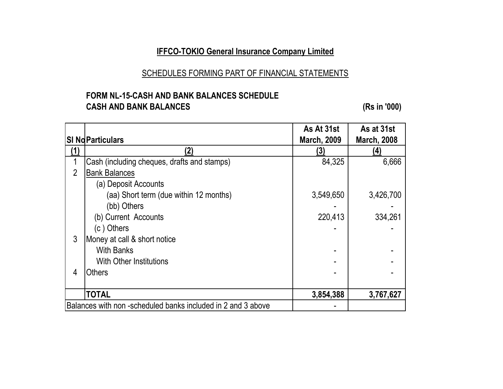### SCHEDULES FORMING PART OF FINANCIAL STATEMENTS

### **FORM NL-15-CASH AND BANK BALANCES SCHEDULE CASH AND BANK BALANCES (Rs in '000)**

|                |                                                             | As At 31st         | As at 31st         |
|----------------|-------------------------------------------------------------|--------------------|--------------------|
|                | <b>SI Nd Particulars</b>                                    | <b>March, 2009</b> | <b>March, 2008</b> |
|                | 2)                                                          | (3)                | (4)                |
|                | Cash (including cheques, drafts and stamps)                 | 84,325             | 6,666              |
| $\overline{2}$ | <b>Bank Balances</b>                                        |                    |                    |
|                | (a) Deposit Accounts                                        |                    |                    |
|                | (aa) Short term (due within 12 months)                      | 3,549,650          | 3,426,700          |
|                | (bb) Others                                                 |                    |                    |
|                | (b) Current Accounts                                        | 220,413            | 334,261            |
|                | (c) Others                                                  |                    |                    |
| 3              | Money at call & short notice                                |                    |                    |
|                | <b>With Banks</b>                                           |                    |                    |
|                | <b>With Other Institutions</b>                              |                    |                    |
| 4              | <b>Others</b>                                               |                    |                    |
|                |                                                             |                    |                    |
|                | <b>TOTAL</b>                                                | 3,854,388          | 3,767,627          |
|                | Balances with non-scheduled banks included in 2 and 3 above |                    |                    |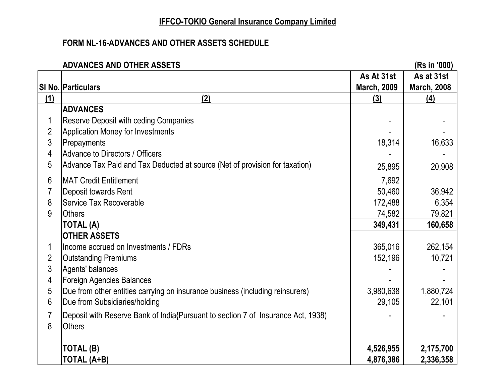## **FORM NL-16-ADVANCES AND OTHER ASSETS SCHEDULE**

|                | <b>ADVANCES AND OTHER ASSETS</b>                                                 |                    | (Rs in '000)       |
|----------------|----------------------------------------------------------------------------------|--------------------|--------------------|
|                |                                                                                  | As At 31st         | As at 31st         |
|                | SI No. Particulars                                                               | <b>March, 2009</b> | <b>March, 2008</b> |
| (1)            | (2)                                                                              | (3)                | (4)                |
|                | <b>ADVANCES</b>                                                                  |                    |                    |
| 1              | <b>Reserve Deposit with ceding Companies</b>                                     |                    |                    |
| $\overline{2}$ | <b>Application Money for Investments</b>                                         |                    |                    |
| 3              | Prepayments                                                                      | 18,314             | 16,633             |
| 4              | Advance to Directors / Officers                                                  |                    |                    |
| 5              | Advance Tax Paid and Tax Deducted at source (Net of provision for taxation)      | 25,895             | 20,908             |
| 6              | <b>MAT Credit Entitlement</b>                                                    | 7,692              |                    |
| 7              | Deposit towards Rent                                                             | 50,460             | 36,942             |
| 8              | <b>Service Tax Recoverable</b>                                                   | 172,488            | 6,354              |
| 9              | <b>Others</b>                                                                    | 74,582             | 79,821             |
|                | TOTAL (A)                                                                        | 349,431            | 160,658            |
|                | <b>OTHER ASSETS</b>                                                              |                    |                    |
| 1              | Income accrued on Investments / FDRs                                             | 365,016            | 262,154            |
| $\overline{2}$ | <b>Outstanding Premiums</b>                                                      | 152,196            | 10,721             |
| 3              | Agents' balances                                                                 |                    |                    |
| 4              | Foreign Agencies Balances                                                        |                    |                    |
| 5              | Due from other entities carrying on insurance business (including reinsurers)    | 3,980,638          | 1,880,724          |
| 6              | Due from Subsidiaries/holding                                                    | 29,105             | 22,101             |
| $\overline{7}$ | Deposit with Reserve Bank of India{Pursuant to section 7 of Insurance Act, 1938) |                    |                    |
| 8              | <b>Others</b>                                                                    |                    |                    |
|                |                                                                                  |                    |                    |
|                | <b>TOTAL (B)</b>                                                                 | 4,526,955          | 2,175,700          |
|                | TOTAL (A+B)                                                                      | 4,876,386          | 2,336,358          |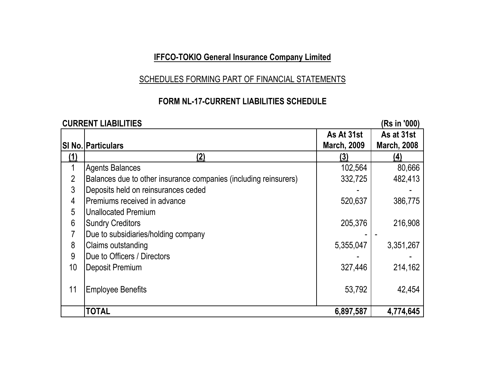### SCHEDULES FORMING PART OF FINANCIAL STATEMENTS

## **FORM NL-17-CURRENT LIABILITIES SCHEDULE**

### **CURRENT LIABILITIES (Rs in '000) SI No. Particulars As At 31st March, 2009 As at 31st March, 2008 (1) (2) (3) (4)** 1 Agents Balances 102,564 80,666 2 Balances due to other insurance companies (including reinsurers) 1 332,725 | 482,413 3 Deposits held on reinsurances ceded 4 Premiums received in advance 1 and 520,637 386,775 5 Unallocated Premium 6 Sundry Creditors 205,376 216,908 7 | Due to subsidiaries/holding company 8 Claims outstanding 6.6 and 5,355,047 3,351,267 9 **Due to Officers / Directors** 10 | Deposit Premium 214,162 11 Employee Benefits **11 Contract 2018** 53,792 42,454 **TOTAL 6,897,587 4,774,645**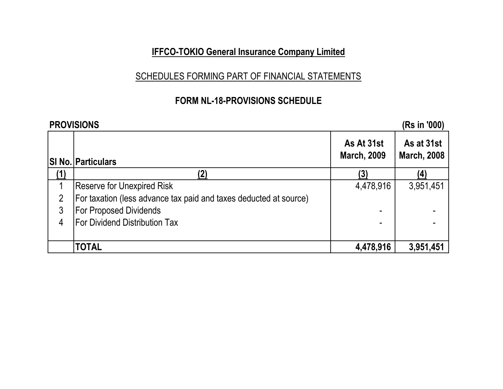## SCHEDULES FORMING PART OF FINANCIAL STATEMENTS

## **FORM NL-18-PROVISIONS SCHEDULE**

|   | <b>PROVISIONS</b>                                                 |                                  | (Rs in '000)                     |
|---|-------------------------------------------------------------------|----------------------------------|----------------------------------|
|   | <b>SI No. Particulars</b>                                         | As At 31st<br><b>March, 2009</b> | As at 31st<br><b>March, 2008</b> |
|   | (2)                                                               | (3)                              | (4)                              |
|   | <b>Reserve for Unexpired Risk</b>                                 | 4,478,916                        | 3,951,451                        |
|   | For taxation (less advance tax paid and taxes deducted at source) |                                  |                                  |
| 3 | <b>For Proposed Dividends</b>                                     |                                  |                                  |
| 4 | <b>IFor Dividend Distribution Tax</b>                             |                                  |                                  |
|   |                                                                   |                                  |                                  |
|   | TOTAL                                                             | 4,478,916                        | 3,951,451                        |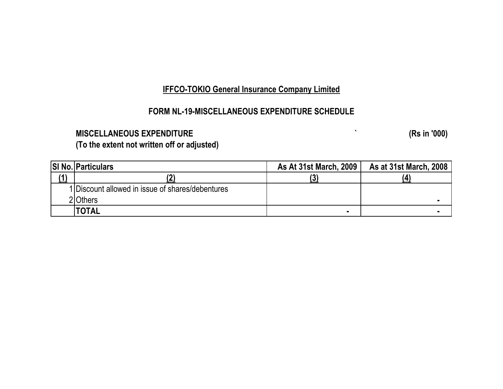## **FORM NL-19-MISCELLANEOUS EXPENDITURE SCHEDULE**

## **MISCELLANEOUS EXPENDITURE ` (Rs in '000)**

**(To the extent not written off or adjusted)**

|     | <b>SI No. Particulars</b>                        | As At 31st March, 2009 | <b>As at 31st March, 2008</b> |
|-----|--------------------------------------------------|------------------------|-------------------------------|
| 14' |                                                  |                        | (4                            |
|     | 1 Discount allowed in issue of shares/debentures |                        |                               |
|     | 2 Others                                         |                        |                               |
|     | <b>'TOTAL</b>                                    | $\blacksquare$         |                               |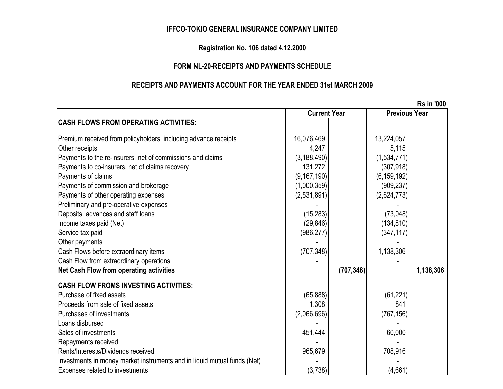#### **IFFCO-TOKIO GENERAL INSURANCE COMPANY LIMITED**

#### **Registration No. 106 dated 4.12.2000**

#### **FORM NL-20-RECEIPTS AND PAYMENTS SCHEDULE**

#### **RECEIPTS AND PAYMENTS ACCOUNT FOR THE YEAR ENDED 31st MARCH 2009**

 **Rs in '000 CASH FLOWS FROM OPERATING ACTIVITIES:** Premium received from policyholders, including advance receipts  $16,076,469$  | 16,076,469 | 13,224,057 Other receipts 4,247 5,115 Payments to the re-insurers, net of commissions and claims (3,188,490) (3,188,490) (1,534,771) Payments to co-insurers, net of claims recovery 131,272 (307,918) Payments of claims (6,159,192) Payments of commission and brokerage (1,000,359) (1,000,359) Payments of other operating expenses (2,531,891) (2,531,891) Preliminary and pre-operative expenses Deposits, advances and staff loans (15,283)  $|I|$  Income taxes paid (Net) (134,810) Service tax paid (986,277) (347,117) Other payments Cash Flows before extraordinary items (707,348) and 1,138,306 Cash Flow from extraordinary operations **Net Cash Flow from operating activities (707,348) 1,138,306 CASH FLOW FROMS INVESTING ACTIVITIES:** Purchase of fixed assets (61,221) Proceeds from sale of fixed assets 841 Purchases of investments (2,066,696) (767,156) Loans disbursed Sales of investments 60,000 and 1 and 1 and 1 and 1 and 1 and 1 and 1 and 1 and 1 and 1 and 1 and 1 and 1 and 1 and 1 and 1 and 1 and 1 and 1 and 1 and 1 and 1 and 1 and 1 and 1 and 1 and 1 and 1 and 1 and 1 and 1 and 1 an Repayments received Rents/Interests/Dividends received 965.679 l 708.916 Investments in money market instruments and in liquid mutual funds (Net) Expenses related to investments (3,738) (4,661) **Current Year Previous Year**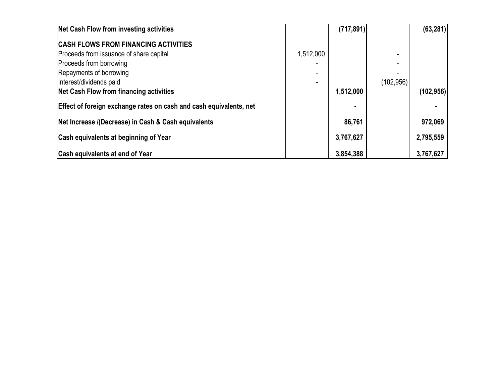| Net Cash Flow from investing activities                            |           | (717, 891) |            | (63, 281)  |
|--------------------------------------------------------------------|-----------|------------|------------|------------|
| <b>CASH FLOWS FROM FINANCING ACTIVITIES</b>                        |           |            |            |            |
| Proceeds from issuance of share capital                            | 1,512,000 |            |            |            |
| Proceeds from borrowing                                            |           |            |            |            |
| Repayments of borrowing                                            |           |            |            |            |
| Interest/dividends paid                                            |           |            | (102, 956) |            |
| Net Cash Flow from financing activities                            |           | 1,512,000  |            | (102, 956) |
| Effect of foreign exchange rates on cash and cash equivalents, net |           |            |            |            |
| Net Increase /(Decrease) in Cash & Cash equivalents                |           | 86,761     |            | 972,069    |
| <b>Cash equivalents at beginning of Year</b>                       |           | 3,767,627  |            | 2,795,559  |
| <b>Cash equivalents at end of Year</b>                             |           | 3,854,388  |            | 3,767,627  |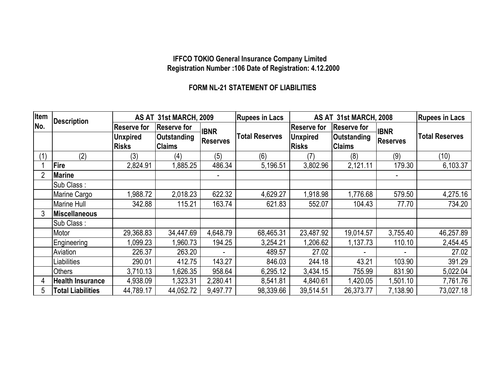#### **IFFCO TOKIO General Insurance Company Limited Registration Number :106 Date of Registration: 4.12.2000**

### **FORM NL-21 STATEMENT OF LIABILITIES**

| <b>Item</b> | <b>Description</b>       | AS AT 31st MARCH, 2009          |                              |                 | <b>Rupees in Lacs</b> |                                 | AS AT 31st MARCH, 2008       |                 |                       |  |
|-------------|--------------------------|---------------------------------|------------------------------|-----------------|-----------------------|---------------------------------|------------------------------|-----------------|-----------------------|--|
| No.         |                          | <b>Reserve for</b>              | <b>Reserve for</b>           | <b>IBNR</b>     |                       | <b>Reserve for</b>              | <b>Reserve for</b>           | <b>IBNR</b>     |                       |  |
|             |                          | <b>Unxpired</b><br><b>Risks</b> | Outstanding<br><b>Claims</b> | <b>Reserves</b> | <b>Total Reserves</b> | <b>Unxpired</b><br><b>Risks</b> | Outstanding<br><b>Claims</b> | <b>Reserves</b> | <b>Total Reserves</b> |  |
| (1)         | (2)                      | (3)                             | (4)                          | (5)             | (6)                   | (7)                             | (8)                          | (9)             | (10)                  |  |
|             | <b>Fire</b>              | 2,824.91                        | 1,885.25                     | 486.34          | 5,196.51              | 3,802.96                        | 2,121.11                     | 179.30          | 6,103.37              |  |
| 2           | <b>Marine</b>            |                                 |                              |                 |                       |                                 |                              |                 |                       |  |
|             | Sub Class:               |                                 |                              |                 |                       |                                 |                              |                 |                       |  |
|             | Marine Cargo             | .988.72                         | 2,018.23                     | 622.32          | 4,629.27              | 1,918.98                        | 1,776.68                     | 579.50          | 4,275.16              |  |
|             | <b>Marine Hull</b>       | 342.88                          | 115.21                       | 163.74          | 621.83                | 552.07                          | 104.43                       | 77.70           | 734.20                |  |
| 3           | Miscellaneous            |                                 |                              |                 |                       |                                 |                              |                 |                       |  |
|             | Sub Class:               |                                 |                              |                 |                       |                                 |                              |                 |                       |  |
|             | Motor                    | 29,368.83                       | 34,447.69                    | 4,648.79        | 68,465.31             | 23,487.92                       | 19,014.57                    | 3,755.40        | 46,257.89             |  |
|             | Engineering              | 1,099.23                        | ,960.73                      | 194.25          | 3,254.21              | 1,206.62                        | 1,137.73                     | 110.10          | 2,454.45              |  |
|             | Aviation                 | 226.37                          | 263.20                       |                 | 489.57                | 27.02                           |                              |                 | 27.02                 |  |
|             | Liabilities              | 290.01                          | 412.75                       | 143.27          | 846.03                | 244.18                          | 43.21                        | 103.90          | 391.29                |  |
|             | <b>Others</b>            | 3,710.13                        | ,626.35                      | 958.64          | 6,295.12              | 3,434.15                        | 755.99                       | 831.90          | 5,022.04              |  |
| 4           | <b>Health Insurance</b>  | 4,938.09                        | 1,323.31                     | 2,280.41        | 8,541.81              | 4,840.61                        | 1,420.05                     | 1,501.10        | 7,761.76              |  |
| 5           | <b>Total Liabilities</b> | 44,789.17                       | 44,052.72                    | 9,497.77        | 98,339.66             | 39,514.51                       | 26,373.77                    | 7,138.90        | 73,027.18             |  |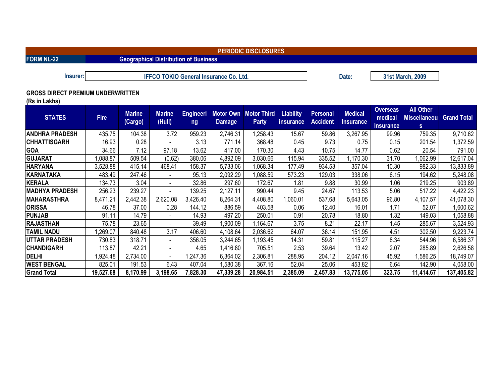**FORM NL-22 Geographical Distribution of Business** 

**IFFCO TOKIO General Insurance Co. Ltd. Date: Date: 2009** 31st March, 2009

#### **GROSS DIRECT PREMIUM UNDERWRITTEN**

**(Rs in Lakhs)**

| <b>STATES</b>         | <b>Fire</b> | <b>Marine</b><br>(Cargo) | <b>Marine</b><br>(Hull)  | <b>Engineeri</b><br>ng | Motor Own<br><b>Damage</b> | <b>Motor Third</b><br><b>Party</b> | <b>Liability</b><br>insurance | <b>Personal</b><br><b>Accident</b> | <b>Medical</b><br><b>Insurance</b> | <b>Overseas</b><br>medical<br><b>Insurance</b> | <b>All Other</b><br><b>Miscellaneou</b><br>s | <b>Grand Total</b> |
|-----------------------|-------------|--------------------------|--------------------------|------------------------|----------------------------|------------------------------------|-------------------------------|------------------------------------|------------------------------------|------------------------------------------------|----------------------------------------------|--------------------|
| ANDHRA PRADESH        | 435.75      | 104.38                   | 3.72                     | 959.23                 | 2,746.31                   | ,258.43                            | 15.67                         | 59.86                              | 3,267.95                           | 99.96                                          | 759.35                                       | 9,710.62           |
| <b>CHHATTISGARH</b>   | 16.93       | 0.28                     | $\overline{\phantom{0}}$ | 3.13                   | 771.14                     | 368.48                             | 0.45                          | 9.73                               | 0.75                               | 0.15                                           | 201.54                                       | ,372.59            |
| <b>GOA</b>            | 34.66       | 7.12                     | 97.18                    | 13.62                  | 417.00                     | 170.30                             | 4.43                          | 10.75                              | 14.77                              | 0.62                                           | 20.54                                        | 791.00             |
| <b>GUJARAT</b>        | 1,088.87    | 509.54                   | (0.62)                   | 380.06                 | 4,892.09                   | 3,030.66                           | 115.94                        | 335.52                             | ,170.30                            | 31.70                                          | 1,062.99                                     | 12,617.04          |
| <b>HARYANA</b>        | 3,528.88    | 415.14                   | 468.41                   | 158.37                 | 5,733.06                   | ,068.34                            | 177.49                        | 934.53                             | 357.04                             | 10.30                                          | 982.33                                       | 13,833.89          |
| KARNATAKA             | 483.49      | 247.46                   | $\blacksquare$           | 95.13                  | 2,092.29                   | ,088.59                            | 573.23                        | 129.03                             | 338.06                             | 6.15                                           | 194.62                                       | 5,248.08           |
| KERALA                | 134.73      | 3.04                     |                          | 32.86                  | 297.60                     | 172.67                             | 1.81                          | 9.88                               | 30.99                              | 1.06                                           | 219.25                                       | 903.89             |
| <b>MADHYA PRADESH</b> | 256.23      | 239.27                   | $\blacksquare$           | 139.25                 | 2,127.11                   | 990.44                             | 9.45                          | 24.67                              | 113.53                             | 5.06                                           | 517.22                                       | 4,422.23           |
| <b>MAHARASTHRA</b>    | 8,471.21    | 2,442.38                 | 2,620.08                 | 3,426.40               | 8,264.31                   | 4,408.80                           | 1,060.01                      | 537.68                             | 5,643.05                           | 96.80                                          | 4,107.57                                     | 41,078.30          |
| <b>ORISSA</b>         | 46.78       | 37.00                    | 0.28                     | 144.12                 | 886.59                     | 403.58                             | 0.06                          | 12.40                              | 16.01                              | 1.71                                           | 52.07                                        | ,600.62            |
| <b>PUNJAB</b>         | 91.11       | 14.79                    | $\sim$                   | 14.93                  | 497.20                     | 250.01                             | 0.91                          | 20.78                              | 18.80                              | 1.32                                           | 149.03                                       | 1,058.88           |
| <b>RAJASTHAN</b>      | 75.78       | 23.65                    |                          | 39.49                  | .900.09                    | ,164.67                            | 3.75                          | 8.21                               | 22.17                              | 1.45                                           | 285.67                                       | 3,524.93           |
| <b>TAMIL NADU</b>     | ,269.07     | 840.48                   | 3.17                     | 406.60                 | 4,108.64                   | 2,036.62                           | 64.07                         | 36.14                              | 151.95                             | 4.51                                           | 302.50                                       | 9,223.74           |
| <b>UTTAR PRADESH</b>  | 730.83      | 318.71                   |                          | 356.05                 | 3,244.65                   | ,193.45                            | 14.31                         | 59.81                              | 115.27                             | 8.34                                           | 544.96                                       | 6,586.37           |
| <b>CHANDIGARH</b>     | 113.87      | 42.21                    |                          | 4.65                   | ,416.80                    | 705.51                             | 2.53                          | 39.64                              | 13.42                              | 2.07                                           | 285.89                                       | 2,626.58           |
| <b>DELHI</b>          | 924.48      | 2,734.00                 | $\sim$                   | 1,247.36               | 6,364.02                   | 2,306.81                           | 288.95                        | 204.12                             | 2,047.16                           | 45.92                                          | ,586.25                                      | 18,749.07          |
| <b>WEST BENGAL</b>    | 825.01      | 191.53                   | 6.43                     | 407.04                 | ,580.38                    | 367.16                             | 52.04                         | 25.06                              | 453.82                             | 6.64                                           | 142.90                                       | 4,058.00           |
| <b>Grand Total</b>    | 19,527.68   | 8,170.99                 | 3,198.65                 | 7,828.30               | 47,339.28                  | 20,984.51                          | 2,385.09                      | 2,457.83                           | 13,775.05                          | 323.75                                         | 11,414.67                                    | 137,405.82         |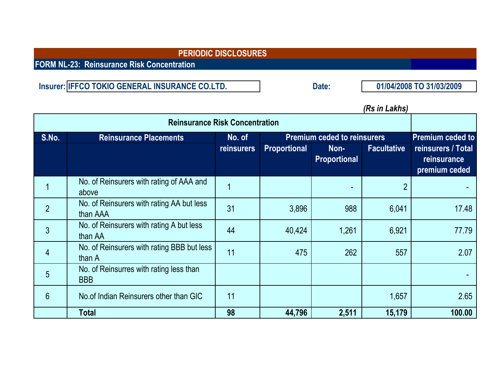**FORM NL-23: Reinsurance Risk Concentration**

**Insurer: Date: IFFCO TOKIO GENERAL INSURANCE CO.LTD. 01/04/2008 TO 31/03/2009**

## *(Rs in Lakhs)*

|       | <b>Reinsurance Risk Concentration</b>                 |                   |                     |                                    |                    |                                                    |  |  |
|-------|-------------------------------------------------------|-------------------|---------------------|------------------------------------|--------------------|----------------------------------------------------|--|--|
| S.No. | <b>Reinsurance Placements</b>                         | No. of            |                     | <b>Premium ceded to reinsurers</b> |                    | <b>Premium ceded to</b>                            |  |  |
|       |                                                       | <b>reinsurers</b> | <b>Proportional</b> | Non-<br>Proportional               | <b>Facultative</b> | reinsurers / Total<br>reinsurance<br>premium ceded |  |  |
|       | No. of Reinsurers with rating of AAA and<br>above     |                   |                     |                                    |                    |                                                    |  |  |
|       | No. of Reinsurers with rating AA but less<br>than AAA | 31                | 3,896               | 988                                | 6,041              | 17.48                                              |  |  |
| 3     | No. of Reinsurers with rating A but less<br>than AA   | 44                | 40,424              | 1,261                              | 6,921              | 77.79                                              |  |  |
| 4     | No. of Reinsurers with rating BBB but less<br>than A  | 11                | 475                 | 262                                | 557                | 2.07                                               |  |  |
| 5     | No. of Reinsurres with rating less than<br><b>BBB</b> |                   |                     |                                    |                    |                                                    |  |  |
| 6     | No.of Indian Reinsurers other than GIC                | 11                |                     |                                    | 1,657              | 2.65                                               |  |  |
|       | Total                                                 | 98                | 44,796              | 2,511                              | 15,179             | 100.00                                             |  |  |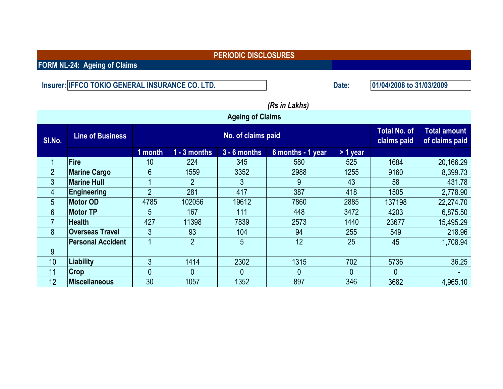**FORM NL-24: Ageing of Claims**

**Insurer: Date: IFFCO TOKIO GENERAL INSURANCE CO. LTD.**

**01/04/2008 to 31/03/2009**

|                | וטווויש ווו טוון         |                |                |                                    |                                       |              |        |           |  |
|----------------|--------------------------|----------------|----------------|------------------------------------|---------------------------------------|--------------|--------|-----------|--|
|                |                          |                |                | <b>Ageing of Claims</b>            |                                       |              |        |           |  |
| SI.No.         | <b>Line of Business</b>  |                |                | <b>Total No. of</b><br>claims paid | <b>Total amount</b><br>of claims paid |              |        |           |  |
|                |                          | 1 month        | $1 - 3$ months | $3 - 6$ months                     | 6 months - 1 year                     | $> 1$ year   |        |           |  |
|                | <b>Fire</b>              | 10             | 224            | 345                                | 580                                   | 525          | 1684   | 20,166.29 |  |
| $\overline{2}$ | <b>Marine Cargo</b>      | 6              | 1559           | 3352                               | 2988                                  | 1255         | 9160   | 8,399.73  |  |
| $\mathbf{3}$   | <b>Marine Hull</b>       |                | $\overline{2}$ | 3                                  | 9                                     | 43           | 58     | 431.78    |  |
| 4              | <b>Engineering</b>       | $\overline{2}$ | 281            | 417                                | 387                                   | 418          | 1505   | 2,778.90  |  |
| 5              | <b>Motor OD</b>          | 4785           | 102056         | 19612                              | 7860                                  | 2885         | 137198 | 22,274.70 |  |
| 6              | <b>Motor TP</b>          | 5              | 167            | 111                                | 448                                   | 3472         | 4203   | 6,875.50  |  |
|                | <b>Health</b>            | 427            | 11398          | 7839                               | 2573                                  | 1440         | 23677  | 15,495.29 |  |
| 8              | <b>Overseas Travel</b>   | 3              | 93             | 104                                | 94                                    | 255          | 549    | 218.96    |  |
|                | <b>Personal Accident</b> |                | $\overline{2}$ | 5 <sup>5</sup>                     | 12                                    | 25           | 45     | 1,708.94  |  |
| 9              |                          |                |                |                                    |                                       |              |        |           |  |
| 10             | Liability                | 3              | 1414           | 2302                               | 1315                                  | 702          | 5736   | 36.25     |  |
| 11             | Crop                     | $\Omega$       | $\theta$       | $\mathbf{0}$                       | 0                                     | $\mathbf{0}$ | 0      |           |  |
| 12             | <b>Miscellaneous</b>     | 30             | 1057           | 1352                               | 897                                   | 346          | 3682   | 4,965.10  |  |

# *(Rs in Lakhs)*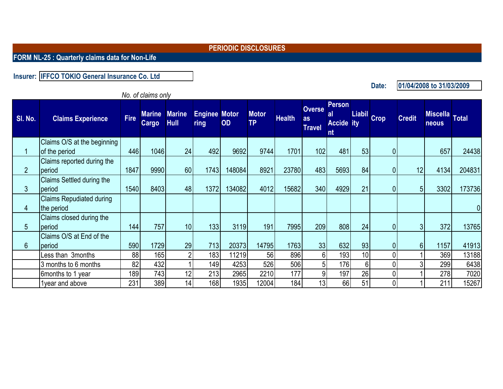**FORM NL-25 : Quarterly claims data for Non-Life**

**Insurer: IFFCO TOKIO General Insurance Co. Ltd**

*No. of claims only*

**SI. No. Claims Experience Fire Cargo Marine Hull Enginee Motor ring OD Motor TP Health Overse as Travel Person al Accide** ity **nt Liabil ity Crop Credit Miscella neous Miscella** Total 1 Claims O/S at the beginning of the period | 446| 1046| 24| 492| 9692| 9744| 1701| 102| 481| 53| 0| | 657| 24438 2 Claims reported during the period | 1847| 9990| 60| 1743| 148084| 8921| 23780| 483| 5693| 84| 0| 12| 4134| 204831 3 Claims Settled during the period | 1540| 8403| 48| 1372| 134082| 4012| 15682| 340| 4929| 21| 0| 5| 3302| 173736 4 Claims Repudiated during the period in the contract of the contract of the contract of the contract of the contract of the contract of t 5 Claims closed during the period | 144| 757| 10| 133| 3119| 191| 7995| 209| 808| 24| 0| 3| 372| 13765 6 Claims O/S at End of the period | 590| 1729| 29| 713| 20373| 14795| 1763| 33| 632| 93| 0| 6| 1157| 41913 Less than 3months 88 | 165 | 2 | 183 | 11219 | 56 | 896 | 6 | 193 | 10 | 0 | 1 | 369 | 13188 3 months to 6 months 82 432 1 149 4253 526 506 5 176 6 6 0 3 299 6438 6months to 1 year | 189| 743| 12| 213| 2965| 2210| 177| 9| 197| 26| 0| 1| 278| 7020 1year and above | 231 | 389 | 14 | 168 | 1935 | 12004 | 184 | 13 | 66 | 51 | 0 | 1 | 211 | 15267

**Date:**

**01/04/2008 to 31/03/2009**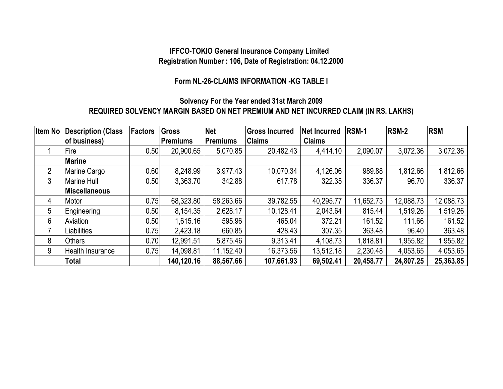### **IFFCO-TOKIO General Insurance Company Limited Registration Number : 106, Date of Registration: 04.12.2000**

#### **Form NL-26-CLAIMS INFORMATION -KG TABLE I**

### **REQUIRED SOLVENCY MARGIN BASED ON NET PREMIUM AND NET INCURRED CLAIM (IN RS. LAKHS) Solvency For the Year ended 31st March 2009**

| <b>Item No</b> | <b>Description (Class</b> | <b>Factors</b> | <b>Gross</b>    | <b>Net</b> | <b>Gross Incurred</b> | Net Incurred  | RSM-1     | <b>RSM-2</b> | <b>RSM</b> |
|----------------|---------------------------|----------------|-----------------|------------|-----------------------|---------------|-----------|--------------|------------|
|                | of business)              |                | <b>Premiums</b> | Premiums   | <b>Claims</b>         | <b>Claims</b> |           |              |            |
|                | Fire                      | 0.50           | 20,900.65       | 5,070.85   | 20,482.43             | 4,414.10      | 2,090.07  | 3,072.36     | 3,072.36   |
|                | <b>Marine</b>             |                |                 |            |                       |               |           |              |            |
| $\overline{2}$ | Marine Cargo              | 0.60           | 8,248.99        | 3,977.43   | 10,070.34             | 4,126.06      | 989.88    | 1,812.66     | 1,812.66   |
| 3              | <b>Marine Hull</b>        | 0.50           | 3,363.70        | 342.88     | 617.78                | 322.35        | 336.37    | 96.70        | 336.37     |
|                | Miscellaneous             |                |                 |            |                       |               |           |              |            |
| 4              | Motor                     | 0.75           | 68,323.80       | 58,263.66  | 39,782.55             | 40,295.77     | 11,652.73 | 12,088.73    | 12,088.73  |
| 5              | Engineering               | 0.50           | 8,154.35        | 2,628.17   | 10,128.41             | 2,043.64      | 815.44    | 1,519.26     | 1,519.26   |
| 6              | Aviation                  | 0.50           | 1,615.16        | 595.96     | 465.04                | 372.21        | 161.52    | 111.66       | 161.52     |
|                | Liabilities               | 0.75           | 2,423.18        | 660.85     | 428.43                | 307.35        | 363.48    | 96.40        | 363.48     |
| 8              | <b>Others</b>             | 0.70           | 12,991.51       | 5,875.46   | 9.313.41              | 4,108.73      | 1,818.81  | 1,955.82     | 1,955.82   |
| 9              | Health Insurance          | 0.75           | 14,098.81       | 11,152.40  | 16,373.56             | 13,512.18     | 2,230.48  | 4,053.65     | 4,053.65   |
|                | <b>Total</b>              |                | 140,120.16      | 88,567.66  | 107,661.93            | 69,502.41     | 20,458.77 | 24,807.25    | 25,363.85  |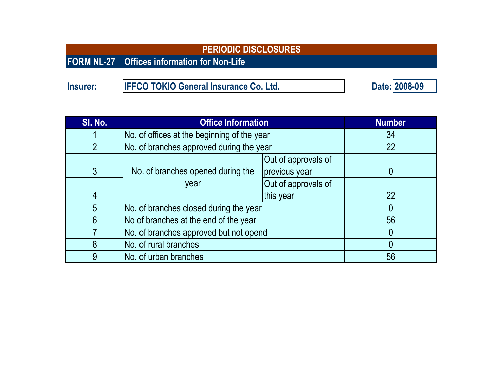|                 | <b>PERIODIC DISCLOSURES</b>                        |               |
|-----------------|----------------------------------------------------|---------------|
|                 | <b>FORM NL-27</b> Offices information for Non-Life |               |
|                 |                                                    |               |
| <b>Insurer:</b> | <b>IFFCO TOKIO General Insurance Co. Ltd.</b>      | Date: 2008-09 |

| SI. No.        | <b>Office Information</b>                   | <b>Number</b>                          |    |  |
|----------------|---------------------------------------------|----------------------------------------|----|--|
|                | No. of offices at the beginning of the year | 34                                     |    |  |
| $\overline{2}$ | No. of branches approved during the year    |                                        | 22 |  |
|                |                                             | Out of approvals of                    |    |  |
| $\mathfrak{Z}$ | No. of branches opened during the           | previous year                          |    |  |
|                | year                                        | Out of approvals of                    |    |  |
| $\overline{4}$ |                                             | this year                              | 22 |  |
| 5              | No. of branches closed during the year      |                                        |    |  |
| 6              | No of branches at the end of the year       |                                        | 56 |  |
|                |                                             | No. of branches approved but not opend |    |  |
| 8              | No. of rural branches                       |                                        |    |  |
| 9              | No. of urban branches                       |                                        | 56 |  |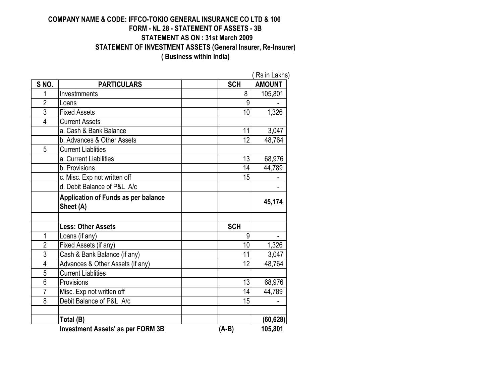### **COMPANY NAME & CODE: IFFCO-TOKIO GENERAL INSURANCE CO LTD & 106 FORM - NL 28 - STATEMENT OF ASSETS - 3B STATEMENT AS ON : 31st March 2009 STATEMENT OF INVESTMENT ASSETS (General Insurer, Re-Insurer)**

**( Business within India)**

| SNO.           | <b>PARTICULARS</b>                                      | <b>SCH</b> | <b>AMOUNT</b> |
|----------------|---------------------------------------------------------|------------|---------------|
| 1              | Investmments                                            | 8          | 105,801       |
| $\overline{2}$ | Loans                                                   | 9          |               |
| $\overline{3}$ | <b>Fixed Assets</b>                                     | 10         | 1,326         |
| $\overline{4}$ | <b>Current Assets</b>                                   |            |               |
|                | a. Cash & Bank Balance                                  | 11         | 3,047         |
|                | b. Advances & Other Assets                              | 12         | 48,764        |
| 5              | <b>Current Liablities</b>                               |            |               |
|                | a. Current Liabilities                                  | 13         | 68,976        |
|                | b. Provisions                                           | 14         | 44,789        |
|                | c. Misc. Exp not written off                            | 15         |               |
|                | d. Debit Balance of P&L A/c                             |            |               |
|                | <b>Application of Funds as per balance</b><br>Sheet (A) |            | 45,174        |
|                |                                                         |            |               |
|                | <b>Less: Other Assets</b>                               | <b>SCH</b> |               |
| 1              | Loans (if any)                                          | 9          |               |
| $\overline{2}$ | Fixed Assets (if any)                                   | 10         | 1,326         |
| $\overline{3}$ | Cash & Bank Balance (if any)                            | 11         | 3,047         |
| 4              | Advances & Other Assets (if any)                        | 12         | 48,764        |
| 5              | <b>Current Liablities</b>                               |            |               |
| 6              | Provisions                                              | 13         | 68,976        |
| $\overline{7}$ | Misc. Exp not written off                               | 14         | 44,789        |
| 8              | Debit Balance of P&L A/c                                | 15         |               |
|                |                                                         |            |               |
|                | Total (B)                                               |            | (60, 628)     |
|                | <b>Investment Assets' as per FORM 3B</b>                | $(A-B)$    | 105,801       |

( Rs in Lakhs)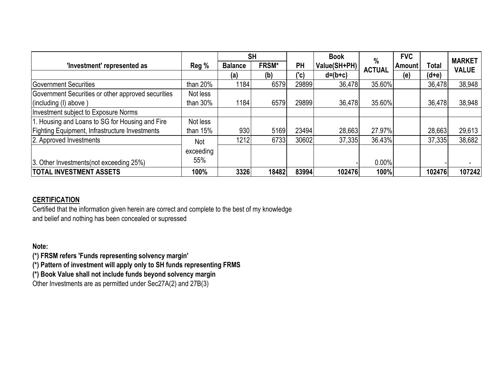|                                                    |             |                | <b>SH</b>    |       | <b>Book</b>  | $\%$          | <b>FVC</b>    |              | <b>MARKET</b> |
|----------------------------------------------------|-------------|----------------|--------------|-------|--------------|---------------|---------------|--------------|---------------|
| 'Investment' represented as                        | Reg %       | <b>Balance</b> | <b>FRSM*</b> | PH    | Value(SH+PH) | <b>ACTUAL</b> | <b>Amount</b> | <b>Total</b> | <b>VALUE</b>  |
|                                                    |             | (a)            | (b)          | ('c)  | $d=(b+c)$    |               | (e)           | $(d+e)$      |               |
| Government Securities                              | than 20%    | 1184           | 6579         | 29899 | 36,478       | 35.60%        |               | 36,478       | 38,948        |
| Government Securities or other approved securities | Not less    |                |              |       |              |               |               |              |               |
| (including (I) above)                              | than $30\%$ | 1184           | 6579         | 29899 | 36,478       | 35.60%        |               | 36,478       | 38,948        |
| Investment subject to Exposure Norms               |             |                |              |       |              |               |               |              |               |
| 1. Housing and Loans to SG for Housing and Fire    | Not less    |                |              |       |              |               |               |              |               |
| Fighting Equipment, Infrastructure Investments     | than $15%$  | 930            | 5169         | 23494 | 28,663       | 27.97%        |               | 28,663       | 29,613        |
| 2. Approved Investments                            | <b>Not</b>  | 1212           | 6733         | 30602 | 37,335       | 36.43%        |               | 37,335       | 38,682        |
|                                                    | exceeding   |                |              |       |              |               |               |              |               |
| 3. Other Investments (not exceeding 25%)           | 55%         |                |              |       |              | 0.00%         |               |              |               |
| <b>TOTAL INVESTMENT ASSETS</b>                     | 100%        | 3326           | 18482        | 83994 | 102476       | 100%          |               | 102476       | 107242        |

### **CERTIFICATION**

Certified that the information given herein are correct and complete to the best of my knowledge and belief and nothing has been concealed or supressed

**Note:**

**(\*) FRSM refers 'Funds representing solvency margin'**

**(\*) Pattern of investment will apply only to SH funds representing FRMS**

**(\*) Book Value shall not include funds beyond solvency margin**

Other Investments are as permitted under Sec27A(2) and 27B(3)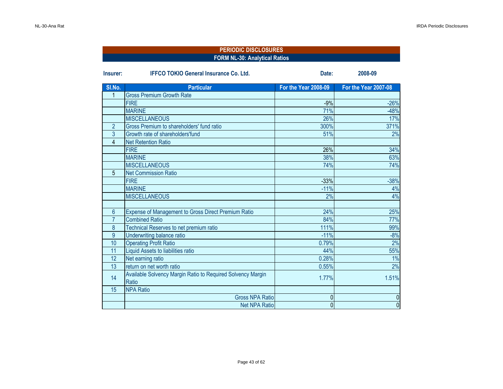|                | <b>PERIODIC DISCLOSURES</b><br><b>FORM NL-30: Analytical Ratios</b>  |                      |                      |  |  |  |  |  |  |
|----------------|----------------------------------------------------------------------|----------------------|----------------------|--|--|--|--|--|--|
|                |                                                                      |                      |                      |  |  |  |  |  |  |
| Insurer:       | <b>IFFCO TOKIO General Insurance Co. Ltd.</b>                        | Date:                | 2008-09              |  |  |  |  |  |  |
| SI.No.         | <b>Particular</b>                                                    | For the Year 2008-09 | For the Year 2007-08 |  |  |  |  |  |  |
| 1              | <b>Gross Premium Growth Rate</b>                                     |                      |                      |  |  |  |  |  |  |
|                | <b>FIRE</b>                                                          | $-9%$                | $-26%$               |  |  |  |  |  |  |
|                | <b>MARINE</b>                                                        | 71%                  | $-48%$               |  |  |  |  |  |  |
|                | <b>MISCELLANEOUS</b>                                                 | 26%                  | 17%                  |  |  |  |  |  |  |
| $\overline{2}$ | Gross Premium to shareholders' fund ratio                            | 300%                 | 371%                 |  |  |  |  |  |  |
| $\overline{3}$ | Growth rate of shareholders'fund                                     | 51%                  | 2%                   |  |  |  |  |  |  |
| 4              | <b>Net Retention Ratio</b>                                           |                      |                      |  |  |  |  |  |  |
|                | <b>FIRE</b>                                                          | 26%                  | 34%                  |  |  |  |  |  |  |
|                | <b>MARINE</b>                                                        | 38%                  | 63%                  |  |  |  |  |  |  |
|                | <b>MISCELLANEOUS</b>                                                 | 74%                  | 74%                  |  |  |  |  |  |  |
| 5              | <b>Net Commission Ratio</b>                                          |                      |                      |  |  |  |  |  |  |
|                | <b>FIRE</b>                                                          | $-33%$               | $-38%$               |  |  |  |  |  |  |
|                | <b>MARINE</b>                                                        | $-11%$               | 4%                   |  |  |  |  |  |  |
|                | <b>MISCELLANEOUS</b>                                                 | 2%                   | 4%                   |  |  |  |  |  |  |
|                |                                                                      |                      |                      |  |  |  |  |  |  |
| 6              | <b>Expense of Management to Gross Direct Premium Ratio</b>           | 24%                  | 25%                  |  |  |  |  |  |  |
| $\overline{7}$ | <b>Combined Ratio</b>                                                | 84%                  | 77%                  |  |  |  |  |  |  |
| 8              | Technical Reserves to net premium ratio                              | 111%                 | 99%                  |  |  |  |  |  |  |
| 9              | Underwriting balance ratio                                           | $-11%$               | $-8%$                |  |  |  |  |  |  |
| 10             | <b>Operating Profit Ratio</b>                                        | 0.79%                | 2%                   |  |  |  |  |  |  |
| 11             | Liquid Assets to liabilities ratio                                   | 44%                  | 55%                  |  |  |  |  |  |  |
| 12             | Net earning ratio                                                    | 0.28%                | 1%                   |  |  |  |  |  |  |
| 13             | return on net worth ratio                                            | 0.55%                | 2%                   |  |  |  |  |  |  |
| 14             | Available Solvency Margin Ratio to Required Solvency Margin<br>Ratio | 1.77%                | 1.51%                |  |  |  |  |  |  |
| 15             | <b>NPA Ratio</b>                                                     |                      |                      |  |  |  |  |  |  |
|                | <b>Gross NPA Ratio</b>                                               | 0                    | $\boldsymbol{0}$     |  |  |  |  |  |  |
|                | <b>Net NPA Ratio</b>                                                 | $\mathbf 0$          | $\overline{0}$       |  |  |  |  |  |  |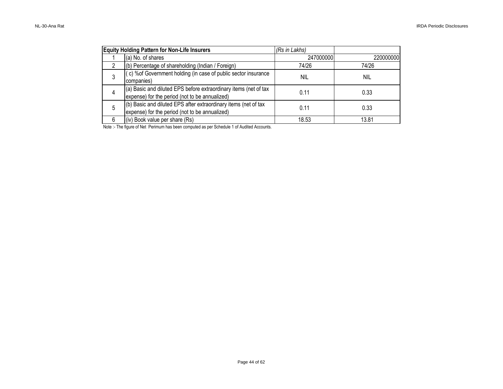|   | <b>Equity Holding Pattern for Non-Life Insurers</b>                                                                | (Rs in Lakhs) |           |
|---|--------------------------------------------------------------------------------------------------------------------|---------------|-----------|
|   | (a) No. of shares                                                                                                  | 247000000     | 220000000 |
| 2 | (b) Percentage of shareholding (Indian / Foreign)                                                                  | 74/26         | 74/26     |
|   | (c) % of Government holding (in case of public sector insurance<br>companies)                                      | <b>NIL</b>    | nil       |
|   | (a) Basic and diluted EPS before extraordinary items (net of tax<br>expense) for the period (not to be annualized) | 0.11          | 0.33      |
| 5 | (b) Basic and diluted EPS after extraordinary items (net of tax<br>expense) for the period (not to be annualized)  | 0.11          | 0.33      |
|   | (iv) Book value per share (Rs)                                                                                     | 18.53         | 13.81     |

Note :- The figure of Net Perimum has been computed as per Schedule 1 of Audited Accounts.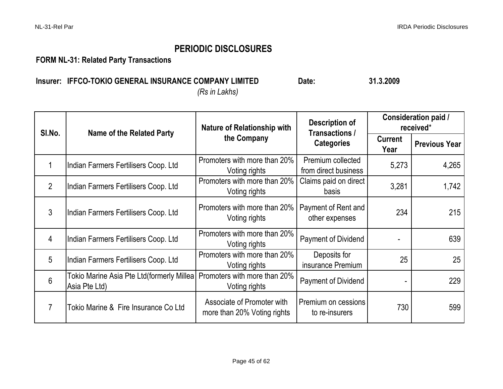**FORM NL-31: Related Party Transactions**

### **Insurer:** IFFCO-TOKIO GENERAL INSURANCE COMPANY LIMITED Date: 21.3.2009 *(Rs in Lakhs)*

| SI.No.          | <b>Name of the Related Party</b>                            | <b>Nature of Relationship with</b>                        | Description of<br>Transactions /          | <b>Consideration paid /</b><br>received* |                      |  |
|-----------------|-------------------------------------------------------------|-----------------------------------------------------------|-------------------------------------------|------------------------------------------|----------------------|--|
|                 |                                                             | the Company                                               | <b>Categories</b>                         | <b>Current</b><br>Year                   | <b>Previous Year</b> |  |
|                 | Indian Farmers Fertilisers Coop. Ltd                        | Promoters with more than 20%<br>Voting rights             | Premium collected<br>from direct business | 5,273                                    | 4,265                |  |
| $\overline{2}$  | Indian Farmers Fertilisers Coop. Ltd                        | Promoters with more than 20%<br>Voting rights             | Claims paid on direct<br>basis            | 3,281                                    | 1,742                |  |
| $\mathfrak{Z}$  | Indian Farmers Fertilisers Coop. Ltd                        | Promoters with more than 20%<br>Voting rights             | Payment of Rent and<br>other expenses     | 234                                      | 215                  |  |
| 4               | Indian Farmers Fertilisers Coop. Ltd                        | Promoters with more than 20%<br>Voting rights             | <b>Payment of Dividend</b>                |                                          | 639                  |  |
| $5\overline{)}$ | Indian Farmers Fertilisers Coop. Ltd                        | Promoters with more than 20%<br>Voting rights             | Deposits for<br>insurance Premium         | 25                                       | 25                   |  |
| 6               | Tokio Marine Asia Pte Ltd(formerly Millea)<br>Asia Pte Ltd) | Promoters with more than 20%<br>Voting rights             | <b>Payment of Dividend</b>                |                                          | 229                  |  |
| 7               | Tokio Marine & Fire Insurance Co Ltd                        | Associate of Promoter with<br>more than 20% Voting rights | Premium on cessions<br>to re-insurers     | 730                                      | 599                  |  |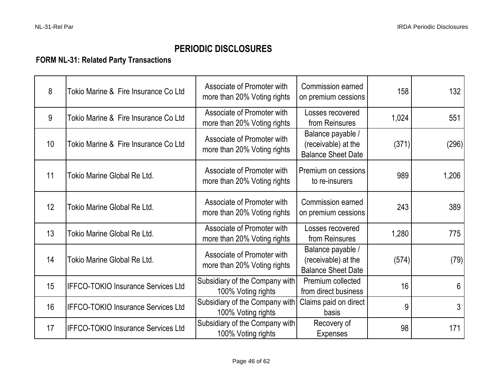## **FORM NL-31: Related Party Transactions**

| 8  | Tokio Marine & Fire Insurance Co Ltd      | Associate of Promoter with<br>more than 20% Voting rights | Commission earned<br>on premium cessions                              | 158   | 132   |
|----|-------------------------------------------|-----------------------------------------------------------|-----------------------------------------------------------------------|-------|-------|
| 9  | Tokio Marine & Fire Insurance Co Ltd      | Associate of Promoter with<br>more than 20% Voting rights | Losses recovered<br>from Reinsures                                    | 1,024 | 551   |
| 10 | Tokio Marine & Fire Insurance Co Ltd      | Associate of Promoter with<br>more than 20% Voting rights | Balance payable /<br>(receivable) at the<br><b>Balance Sheet Date</b> | (371) | (296) |
| 11 | Tokio Marine Global Re Ltd.               | Associate of Promoter with<br>more than 20% Voting rights | Premium on cessions<br>to re-insurers                                 | 989   | 1,206 |
| 12 | Tokio Marine Global Re Ltd.               | Associate of Promoter with<br>more than 20% Voting rights | Commission earned<br>on premium cessions                              | 243   | 389   |
| 13 | Tokio Marine Global Re Ltd.               | Associate of Promoter with<br>more than 20% Voting rights | Losses recovered<br>from Reinsures                                    | 1,280 | 775   |
| 14 | Tokio Marine Global Re Ltd.               | Associate of Promoter with<br>more than 20% Voting rights | Balance payable /<br>(receivable) at the<br><b>Balance Sheet Date</b> | (574) | (79)  |
| 15 | <b>IFFCO-TOKIO Insurance Services Ltd</b> | Subsidiary of the Company with<br>100% Voting rights      | Premium collected<br>from direct business                             | 16    | 6     |
| 16 | <b>IFFCO-TOKIO Insurance Services Ltd</b> | Subsidiary of the Company with<br>100% Voting rights      | Claims paid on direct<br>basis                                        | 9     | 3     |
| 17 | <b>IFFCO-TOKIO Insurance Services Ltd</b> | Subsidiary of the Company with<br>100% Voting rights      | Recovery of<br><b>Expenses</b>                                        | 98    | 171   |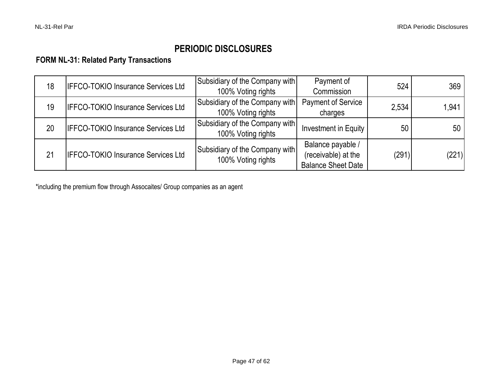### **FORM NL-31: Related Party Transactions**

| 18 | <b>IFFCO-TOKIO Insurance Services Ltd</b> | Subsidiary of the Company with<br>100% Voting rights | Payment of<br>Commission                                              | 524   | 369   |
|----|-------------------------------------------|------------------------------------------------------|-----------------------------------------------------------------------|-------|-------|
| 19 | <b>IFFCO-TOKIO Insurance Services Ltd</b> | Subsidiary of the Company with<br>100% Voting rights | <b>Payment of Service</b><br>charges                                  | 2.534 | 1,941 |
| 20 | <b>IFFCO-TOKIO Insurance Services Ltd</b> | Subsidiary of the Company with<br>100% Voting rights | Investment in Equity                                                  | 50    | 50 l  |
| 21 | <b>IFFCO-TOKIO Insurance Services Ltd</b> | Subsidiary of the Company with<br>100% Voting rights | Balance payable /<br>(receivable) at the<br><b>Balance Sheet Date</b> | (291) | (221) |

\*including the premium flow through Assocaites/ Group companies as an agent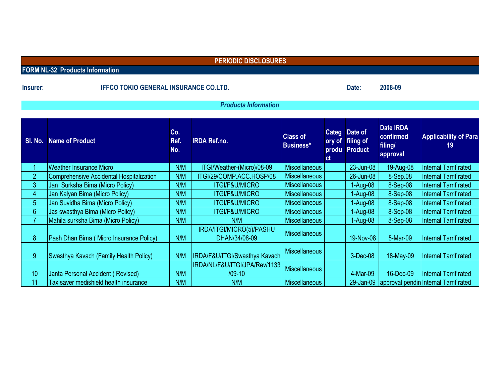|                  | <b>PERIODIC DISCLOSURES</b>                     |                    |                                           |                                     |               |                                                    |                                                      |                                                   |  |  |  |  |
|------------------|-------------------------------------------------|--------------------|-------------------------------------------|-------------------------------------|---------------|----------------------------------------------------|------------------------------------------------------|---------------------------------------------------|--|--|--|--|
|                  | <b>FORM NL-32 Products Information</b>          |                    |                                           |                                     |               |                                                    |                                                      |                                                   |  |  |  |  |
| Insurer:         | <b>IFFCO TOKIO GENERAL INSURANCE CO.LTD.</b>    |                    |                                           |                                     |               | Date:                                              | 2008-09                                              |                                                   |  |  |  |  |
|                  | <b>Products Information</b>                     |                    |                                           |                                     |               |                                                    |                                                      |                                                   |  |  |  |  |
| SI. No.          | <b>Name of Product</b>                          | Co.<br>Ref.<br>No. | <b>IRDA Ref.no.</b>                       | <b>Class of</b><br><b>Business*</b> | <sub>ct</sub> | Categ Date of<br>ory of filing of<br>produ Product | <b>Date IRDA</b><br>confirmed<br>filing/<br>approval | <b>Applicability of Para</b><br>19                |  |  |  |  |
|                  | <b>Weather Insurance Micro</b>                  | N/M                | ITGI/Weather-(Micro)/08-09                | <b>Miscellaneous</b>                |               | 23-Jun-08                                          | 19-Aug-08                                            | Internal Tarrif rated                             |  |  |  |  |
| $\overline{2}$   | <b>Comprehensive Accidental Hospitalization</b> | N/M                | ITGI/29/COMP.ACC.HOSP/08                  | <b>Miscellaneous</b>                |               | 26-Jun-08                                          | 8-Sep.08                                             | Internal Tarrif rated                             |  |  |  |  |
| 3                | Jan Surksha Bima (Micro Policy)                 | N/M                | <b>ITGI/F&amp;U/MICRO</b>                 | <b>Miscellaneous</b>                |               | 1-Aug-08                                           | 8-Sep-08                                             | Internal Tarrif rated                             |  |  |  |  |
| $\overline{4}$   | Jan Kalyan Bima (Micro Policy)                  | N/M                | <b>ITGI/F&amp;U/MICRO</b>                 | <b>Miscellaneous</b>                |               | 1-Aug-08                                           | 8-Sep-08                                             | Internal Tarrif rated                             |  |  |  |  |
| $\overline{5}$   | Jan Suvidha Bima (Micro Policy)                 | N/M                | <b>ITGI/F&amp;U/MICRO</b>                 | <b>Miscellaneous</b>                |               | 1-Aug-08                                           | 8-Sep-08                                             | Internal Tarrif rated                             |  |  |  |  |
| $6\phantom{1}$   | Jas swasthya Bima (Micro Policy)                | N/M                | <b>ITGI/F&amp;U/MICRO</b>                 | <b>Miscellaneous</b>                |               | $1-Aug-08$                                         | 8-Sep-08                                             | Internal Tarrif rated                             |  |  |  |  |
| $\overline{7}$   | Mahila surksha Bima (Micro Policy)              | N/M                | N/M                                       | <b>Miscellaneous</b>                |               | 1-Aug-08                                           | 8-Sep-08                                             | Internal Tarrif rated                             |  |  |  |  |
| $\boldsymbol{8}$ | Pash Dhan Bima (Micro Insurance Policy)         | N/M                | IRDA/ITGI/MICRO(5)/PASHU<br>DHAN/34/08-09 | <b>Miscellaneous</b>                |               | 19-Nov-08                                          | 5-Mar-09                                             | Internal Tarrif rated                             |  |  |  |  |
| 9                | Swasthya Kavach (Family Health Policy)          | N/M                | IRDA/F&U/ITGI/Swasthya Kavach             | <b>Miscellaneous</b>                |               | 3-Dec-08                                           | 18-May-09                                            | Internal Tarrif rated                             |  |  |  |  |
| 10               | Janta Personal Accident (Revised)               | N/M                | IRDA/NL/F&U/ITGI/JPA/Rev/1133<br>$/09-10$ | <b>Miscellaneous</b>                |               | 4-Mar-09                                           | 16-Dec-09                                            | <b>Internal Tarrif rated</b>                      |  |  |  |  |
| 11               | Tax saver medishield health insurance           | N/M                | N/M                                       | <b>Miscellaneous</b>                |               |                                                    |                                                      | 29-Jan-09   approval pendin Internal Tarrif rated |  |  |  |  |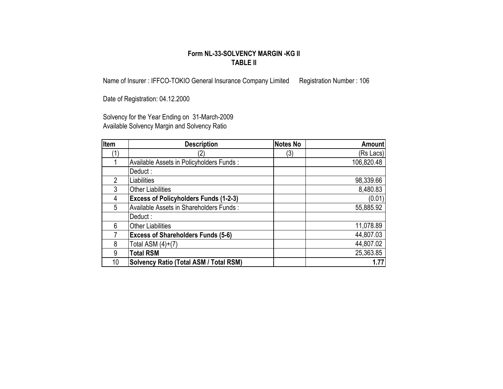#### **Form NL-33-SOLVENCY MARGIN -KG II TABLE II**

Name of Insurer : IFFCO-TOKIO General Insurance Company Limited Registration Number : 106

Date of Registration: 04.12.2000

Solvency for the Year Ending on 31-March-2009 Available Solvency Margin and Solvency Ratio

| Item | <b>Description</b>                            | <b>Notes No</b> | <b>Amount</b> |
|------|-----------------------------------------------|-----------------|---------------|
|      | 2)                                            | (3)             | (Rs Lacs)     |
|      | Available Assets in Policyholders Funds:      |                 | 106,820.48    |
|      | Deduct:                                       |                 |               |
|      | Liabilities                                   |                 | 98,339.66     |
| 3    | <b>Other Liabilities</b>                      |                 | 8,480.83      |
| 4    | <b>Excess of Policyholders Funds (1-2-3)</b>  |                 | (0.01)        |
| 5    | Available Assets in Shareholders Funds:       |                 | 55,885.92     |
|      | Deduct:                                       |                 |               |
| 6    | <b>Other Liabilities</b>                      |                 | 11,078.89     |
|      | <b>Excess of Shareholders Funds (5-6)</b>     |                 | 44,807.03     |
| 8    | Total ASM $(4)+(7)$                           |                 | 44,807.02     |
| 9    | <b>Total RSM</b>                              |                 | 25,363.85     |
| 10   | <b>Solvency Ratio (Total ASM / Total RSM)</b> |                 | 1.77          |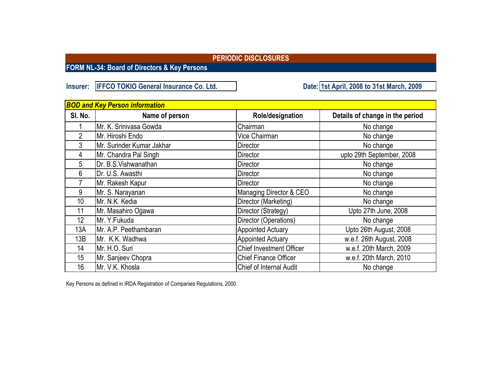**FORM NL-34: Board of Directors & Key Persons**

**Insurer: IFFCO TOKIO General Insurance Co. Ltd.** 

**1st April, 2008 to 31st March, 2009**

|                 | <b>BOD and Key Person information</b> |                                 |                                 |  |  |  |  |  |  |  |  |
|-----------------|---------------------------------------|---------------------------------|---------------------------------|--|--|--|--|--|--|--|--|
| SI. No.         | Name of person                        | Role/designation                | Details of change in the period |  |  |  |  |  |  |  |  |
|                 | Mr. K. Srinivasa Gowda                | Chairman                        | No change                       |  |  |  |  |  |  |  |  |
| 2               | Mr. Hiroshi Endo                      | Vice Chairman                   | No change                       |  |  |  |  |  |  |  |  |
| 3               | Mr. Surinder Kumar Jakhar             | <b>Director</b>                 | No change                       |  |  |  |  |  |  |  |  |
| 4               | Mr. Chandra Pal Singh                 | Director                        | upto 29th September, 2008       |  |  |  |  |  |  |  |  |
| 5               | Dr. B.S.Vishwanathan                  | Director                        | No change                       |  |  |  |  |  |  |  |  |
| 6               | Dr. U.S. Awasthi                      | Director                        | No change                       |  |  |  |  |  |  |  |  |
|                 | Mr. Rakesh Kapur                      | Director                        | No change                       |  |  |  |  |  |  |  |  |
| 9               | Mr. S. Narayanan                      | Managing Director & CEO         | No change                       |  |  |  |  |  |  |  |  |
| 10              | Mr. N.K. Kedia                        | Director (Marketing)            | No change                       |  |  |  |  |  |  |  |  |
| 11              | Mr. Masahiro Ogawa                    | Director (Strategy)             | Upto 27th June, 2008            |  |  |  |  |  |  |  |  |
| 12 <sup>°</sup> | Mr. Y.Fukuda                          | Director (Operations)           | No change                       |  |  |  |  |  |  |  |  |
| 13A             | Mr. A.P. Peethambaran                 | <b>Appointed Actuary</b>        | Upto 26th August, 2008          |  |  |  |  |  |  |  |  |
| 13B             | Mr. K.K. Wadhwa                       | <b>Appointed Actuary</b>        | w.e.f. 26th August, 2008        |  |  |  |  |  |  |  |  |
| 14              | Mr. H.O. Suri                         | <b>Chief Investment Officer</b> | w.e.f. 20th March, 2009         |  |  |  |  |  |  |  |  |
| 15              | Mr. Sanjeev Chopra                    | <b>Chief Finance Officer</b>    | w.e.f. 20th March, 2010         |  |  |  |  |  |  |  |  |
| 16              | Mr. V.K. Khosla                       | <b>Chief of Internal Audit</b>  | No change                       |  |  |  |  |  |  |  |  |

Key Persons as defined in IRDA Registration of Companies Regulations, 2000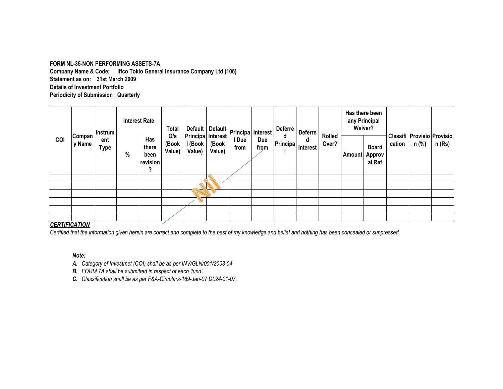#### **FORM NL-35-NON PERFORMING ASSETS-7A**

**Company Name & Code: Iffco Tokio General Insurance Company Ltd (106) Details of Investment Portfolio Periodicity of Submission : Quarterly Statement as on: 31st March 2009**

| COI                  | Compan <br>y Name | <b>Interest Rate</b><br>Instrum<br>Has<br>ent<br>there<br>Type<br>%<br>been<br>? |          |                        | Total                                  |                 |               | Default Default Principa Interest |               | Deferre       | <b>Deferre</b>  |               |                                  | Has there been<br>any Principal<br>Waiver? |                                           |        |  |
|----------------------|-------------------|----------------------------------------------------------------------------------|----------|------------------------|----------------------------------------|-----------------|---------------|-----------------------------------|---------------|---------------|-----------------|---------------|----------------------------------|--------------------------------------------|-------------------------------------------|--------|--|
|                      |                   |                                                                                  | revision | O/s<br>(Book<br>Value) | Principa Interest<br>I (Book<br>Value) | (Book<br>Value) | I Due<br>from |                                   | d<br>Principa | d<br>Interest | Rolled<br>Over? | <b>Amount</b> | <b>Board</b><br>Approv<br>al Ref | cation                                     | Classifi   Provisio   Provisio  <br>n (%) | n (Rs) |  |
|                      |                   |                                                                                  |          |                        |                                        |                 |               |                                   |               |               |                 |               |                                  |                                            |                                           |        |  |
|                      |                   |                                                                                  |          |                        |                                        |                 |               |                                   |               |               |                 |               |                                  |                                            |                                           |        |  |
|                      |                   |                                                                                  |          |                        |                                        |                 |               |                                   |               |               |                 |               |                                  |                                            |                                           |        |  |
|                      |                   |                                                                                  |          |                        |                                        |                 |               |                                   |               |               |                 |               |                                  |                                            |                                           |        |  |
|                      |                   |                                                                                  |          |                        |                                        |                 |               |                                   |               |               |                 |               |                                  |                                            |                                           |        |  |
| <b>CEDTIFICATION</b> |                   |                                                                                  |          |                        |                                        |                 |               |                                   |               |               |                 |               |                                  |                                            |                                           |        |  |

#### *CERTIFICATION*

*Certified that the information given herein are correct and complete to the best of my knowledge and belief and nothing has been concealed or suppressed.*

#### *Note:*

- *A. Category of Investmet (COI) shall be as per INV/GLN/001/2003-04*
- *B. FORM 7A shall be submitted in respect of each 'fund'.*
- *C. Classification shall be as per F&A-Circulars-169-Jan-07 Dt.24-01-07.*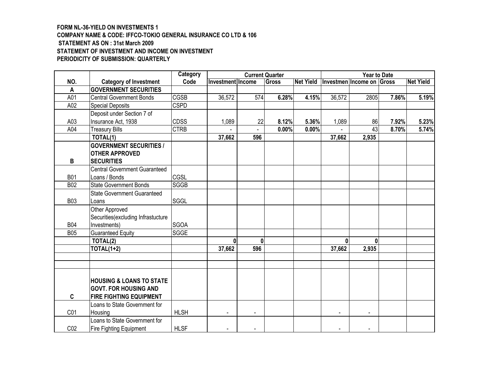#### **FORM NL-36-YIELD ON INVESTMENTS 1 COMPANY NAME & CODE: IFFCO-TOKIO GENERAL INSURANCE CO LTD & 106 STATEMENT AS ON : 31st March 2009 STATEMENT OF INVESTMENT AND INCOME ON INVESTMENT PERIODICITY OF SUBMISSION: QUARTERLY**

|                 |                                                                                                       | Category    | <b>Current Quarter</b><br><b>Year to Date</b> |                |       |                  |                |                           |       |                  |
|-----------------|-------------------------------------------------------------------------------------------------------|-------------|-----------------------------------------------|----------------|-------|------------------|----------------|---------------------------|-------|------------------|
| NO.             | <b>Category of Investment</b>                                                                         | Code        | Investment Income                             |                | Gross | <b>Net Yield</b> |                | Investmen Income on Gross |       | <b>Net Yield</b> |
| $\overline{A}$  | <b>GOVERNMENT SECURITIES</b>                                                                          |             |                                               |                |       |                  |                |                           |       |                  |
| A01             | <b>Central Government Bonds</b>                                                                       | <b>CGSB</b> | 36,572                                        | 574            | 6.28% | 4.15%            | 36,572         | 2805                      | 7.86% | 5.19%            |
| A02             | Special Deposits                                                                                      | <b>CSPD</b> |                                               |                |       |                  |                |                           |       |                  |
|                 | Deposit under Section 7 of                                                                            |             |                                               |                |       |                  |                |                           |       |                  |
| A03             | Insurance Act, 1938                                                                                   | <b>CDSS</b> | 1,089                                         | 22             | 8.12% | 5.36%            | 1,089          | 86                        | 7.92% | 5.23%            |
| A04             | <b>Treasury Bills</b>                                                                                 | <b>CTRB</b> |                                               |                | 0.00% | 0.00%            |                | 43                        | 8.70% | 5.74%            |
|                 | TOTAL(1)                                                                                              |             | 37,662                                        | 596            |       |                  | 37,662         | 2,935                     |       |                  |
| B               | <b>GOVERNMENT SECURITIES /</b><br><b>OTHER APPROVED</b><br><b>SECURITIES</b>                          |             |                                               |                |       |                  |                |                           |       |                  |
|                 | Central Government Guaranteed                                                                         |             |                                               |                |       |                  |                |                           |       |                  |
| <b>B01</b>      | Loans / Bonds                                                                                         | CGSL        |                                               |                |       |                  |                |                           |       |                  |
| <b>B02</b>      | <b>State Government Bonds</b>                                                                         | SGGB        |                                               |                |       |                  |                |                           |       |                  |
|                 | <b>State Government Guaranteed</b>                                                                    |             |                                               |                |       |                  |                |                           |       |                  |
| <b>B03</b>      | Loans                                                                                                 | SGGL        |                                               |                |       |                  |                |                           |       |                  |
| <b>B04</b>      | Other Approved<br>Securities (excluding Infrastucture<br>Investments)                                 | <b>SGOA</b> |                                               |                |       |                  |                |                           |       |                  |
| <b>B05</b>      | <b>Guaranteed Equity</b>                                                                              | SGGE        |                                               |                |       |                  |                |                           |       |                  |
|                 | TOTAL(2)                                                                                              |             | $\mathbf{0}$                                  | U              |       |                  | $\mathbf{0}$   | $\mathbf{0}$              |       |                  |
|                 | $TOTAL(1+2)$                                                                                          |             | 37,662                                        | 596            |       |                  | 37,662         | 2,935                     |       |                  |
|                 |                                                                                                       |             |                                               |                |       |                  |                |                           |       |                  |
|                 |                                                                                                       |             |                                               |                |       |                  |                |                           |       |                  |
| C               | <b>HOUSING &amp; LOANS TO STATE</b><br><b>GOVT. FOR HOUSING AND</b><br><b>FIRE FIGHTING EQUIPMENT</b> |             |                                               |                |       |                  |                |                           |       |                  |
| C01             | Loans to State Government for<br>Housing                                                              | <b>HLSH</b> | $\blacksquare$                                | $\blacksquare$ |       |                  | $\blacksquare$ | $\blacksquare$            |       |                  |
| CO <sub>2</sub> | Loans to State Government for<br><b>Fire Fighting Equipment</b>                                       | <b>HLSF</b> |                                               |                |       |                  |                |                           |       |                  |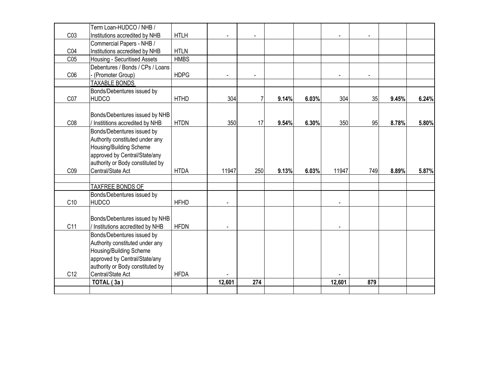|                 | Term Loan-HUDCO / NHB /          |             |                |                |       |       |                |                |       |       |
|-----------------|----------------------------------|-------------|----------------|----------------|-------|-------|----------------|----------------|-------|-------|
| CO <sub>3</sub> | Institutions accredited by NHB   | <b>HTLH</b> | $\blacksquare$ | $\blacksquare$ |       |       | $\blacksquare$ | $\blacksquare$ |       |       |
|                 | Commercial Papers - NHB /        |             |                |                |       |       |                |                |       |       |
| C04             | Institutions accredited by NHB   | <b>HTLN</b> |                |                |       |       |                |                |       |       |
| C <sub>05</sub> | Housing - Securitised Assets     | <b>HMBS</b> |                |                |       |       |                |                |       |       |
|                 | Debentures / Bonds / CPs / Loans |             |                |                |       |       |                |                |       |       |
| C <sub>06</sub> | (Promoter Group)                 | <b>HDPG</b> | $\blacksquare$ | $\blacksquare$ |       |       | $\blacksquare$ | $\blacksquare$ |       |       |
|                 | <b>TAXABLE BONDS</b>             |             |                |                |       |       |                |                |       |       |
|                 | Bonds/Debentures issued by       |             |                |                |       |       |                |                |       |       |
| C <sub>07</sub> | <b>HUDCO</b>                     | <b>HTHD</b> | 304            | 7              | 9.14% | 6.03% | 304            | 35             | 9.45% | 6.24% |
|                 |                                  |             |                |                |       |       |                |                |       |       |
|                 | Bonds/Debentures issued by NHB   |             |                |                |       |       |                |                |       |       |
| CO8             | / Instititions accredited by NHB | <b>HTDN</b> | 350            | 17             | 9.54% | 6.30% | 350            | 95             | 8.78% | 5.80% |
|                 | Bonds/Debentures issued by       |             |                |                |       |       |                |                |       |       |
|                 | Authority constituted under any  |             |                |                |       |       |                |                |       |       |
|                 | Housing/Building Scheme          |             |                |                |       |       |                |                |       |       |
|                 | approved by Central/State/any    |             |                |                |       |       |                |                |       |       |
|                 | authority or Body constituted by |             |                |                |       |       |                |                |       |       |
| C <sub>09</sub> | Central/State Act                | <b>HTDA</b> | 11947          | 250            | 9.13% | 6.03% | 11947          | 749            | 8.89% | 5.87% |
|                 |                                  |             |                |                |       |       |                |                |       |       |
|                 | <b>TAXFREE BONDS OF</b>          |             |                |                |       |       |                |                |       |       |
|                 | Bonds/Debentures issued by       |             |                |                |       |       |                |                |       |       |
| C10             | <b>HUDCO</b>                     | <b>HFHD</b> |                |                |       |       |                |                |       |       |
|                 |                                  |             |                |                |       |       |                |                |       |       |
|                 | Bonds/Debentures issued by NHB   |             |                |                |       |       |                |                |       |       |
| C11             | / Institutions accredited by NHB | <b>HFDN</b> |                |                |       |       |                |                |       |       |
|                 | Bonds/Debentures issued by       |             |                |                |       |       |                |                |       |       |
|                 | Authority constituted under any  |             |                |                |       |       |                |                |       |       |
|                 | Housing/Building Scheme          |             |                |                |       |       |                |                |       |       |
|                 | approved by Central/State/any    |             |                |                |       |       |                |                |       |       |
|                 | authority or Body constituted by |             |                |                |       |       |                |                |       |       |
| C <sub>12</sub> | Central/State Act                | <b>HFDA</b> |                |                |       |       |                |                |       |       |
|                 | TOTAL (3a)                       |             | 12,601         | 274            |       |       | 12,601         | 879            |       |       |
|                 |                                  |             |                |                |       |       |                |                |       |       |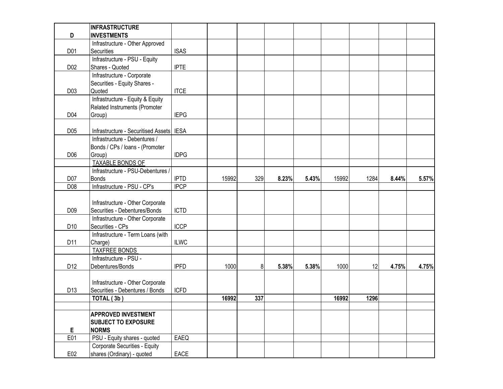|                  | <b>INFRASTRUCTURE</b>                |             |       |     |       |       |       |      |       |       |
|------------------|--------------------------------------|-------------|-------|-----|-------|-------|-------|------|-------|-------|
| D                | <b>INVESTMENTS</b>                   |             |       |     |       |       |       |      |       |       |
|                  | Infrastructure - Other Approved      |             |       |     |       |       |       |      |       |       |
| D01              | Securities                           | <b>ISAS</b> |       |     |       |       |       |      |       |       |
|                  | Infrastructure - PSU - Equity        |             |       |     |       |       |       |      |       |       |
| D <sub>02</sub>  | Shares - Quoted                      | <b>IPTE</b> |       |     |       |       |       |      |       |       |
|                  | Infrastructure - Corporate           |             |       |     |       |       |       |      |       |       |
|                  | Securities - Equity Shares -         |             |       |     |       |       |       |      |       |       |
| D <sub>0</sub> 3 | Quoted                               | <b>ITCE</b> |       |     |       |       |       |      |       |       |
|                  | Infrastructure - Equity & Equity     |             |       |     |       |       |       |      |       |       |
|                  | Related Instruments (Promoter        |             |       |     |       |       |       |      |       |       |
| D04              | Group)                               | <b>IEPG</b> |       |     |       |       |       |      |       |       |
| D <sub>05</sub>  | Infrastructure - Securitised Assets  | <b>IESA</b> |       |     |       |       |       |      |       |       |
|                  | Infrastructure - Debentures /        |             |       |     |       |       |       |      |       |       |
|                  | Bonds / CPs / Ioans - (Promoter      |             |       |     |       |       |       |      |       |       |
| D06              | Group)                               | <b>IDPG</b> |       |     |       |       |       |      |       |       |
|                  | <b>TAXABLE BONDS OF</b>              |             |       |     |       |       |       |      |       |       |
|                  | Infrastructure - PSU-Debentures /    |             |       |     |       |       |       |      |       |       |
| D07              | <b>Bonds</b>                         | <b>IPTD</b> | 15992 | 329 | 8.23% | 5.43% | 15992 | 1284 | 8.44% | 5.57% |
| D08              | Infrastructure - PSU - CP's          | <b>IPCP</b> |       |     |       |       |       |      |       |       |
|                  |                                      |             |       |     |       |       |       |      |       |       |
|                  | Infrastructure - Other Corporate     |             |       |     |       |       |       |      |       |       |
| D <sub>09</sub>  | Securities - Debentures/Bonds        | <b>ICTD</b> |       |     |       |       |       |      |       |       |
|                  | Infrastructure - Other Corporate     |             |       |     |       |       |       |      |       |       |
| D <sub>10</sub>  | Securities - CPs                     | <b>ICCP</b> |       |     |       |       |       |      |       |       |
|                  | Infrastructure - Term Loans (with    |             |       |     |       |       |       |      |       |       |
| D11              | Charge)                              | <b>ILWC</b> |       |     |       |       |       |      |       |       |
|                  | <b>TAXFREE BONDS</b>                 |             |       |     |       |       |       |      |       |       |
|                  | Infrastructure - PSU -               |             |       |     |       |       |       |      |       |       |
| D <sub>12</sub>  | Debentures/Bonds                     | <b>IPFD</b> | 1000  | 8   | 5.38% | 5.38% | 1000  | 12   | 4.75% | 4.75% |
|                  |                                      |             |       |     |       |       |       |      |       |       |
|                  | Infrastructure - Other Corporate     |             |       |     |       |       |       |      |       |       |
| D <sub>13</sub>  | Securities - Debentures / Bonds      | <b>ICFD</b> |       |     |       |       |       |      |       |       |
|                  | TOTAL (3b)                           |             | 16992 | 337 |       |       | 16992 | 1296 |       |       |
|                  |                                      |             |       |     |       |       |       |      |       |       |
|                  | <b>APPROVED INVESTMENT</b>           |             |       |     |       |       |       |      |       |       |
|                  | <b>SUBJECT TO EXPOSURE</b>           |             |       |     |       |       |       |      |       |       |
| E                | <b>NORMS</b>                         |             |       |     |       |       |       |      |       |       |
| E01              | PSU - Equity shares - quoted         | EAEQ        |       |     |       |       |       |      |       |       |
|                  | <b>Corporate Securities - Equity</b> |             |       |     |       |       |       |      |       |       |
| E02              | shares (Ordinary) - quoted           | EACE        |       |     |       |       |       |      |       |       |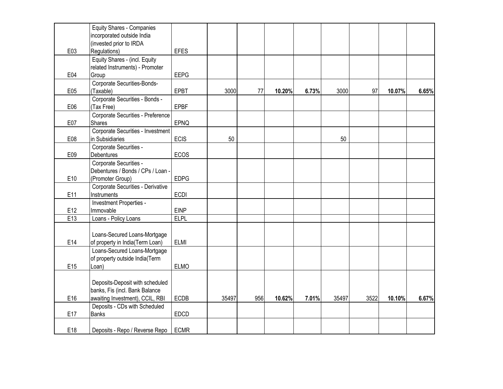|     | <b>Equity Shares - Companies</b>  |             |       |     |        |       |       |      |        |       |
|-----|-----------------------------------|-------------|-------|-----|--------|-------|-------|------|--------|-------|
|     | incorporated outside India        |             |       |     |        |       |       |      |        |       |
|     | (invested prior to IRDA           |             |       |     |        |       |       |      |        |       |
| E03 | Regulations)                      | <b>EFES</b> |       |     |        |       |       |      |        |       |
|     | Equity Shares - (incl. Equity     |             |       |     |        |       |       |      |        |       |
|     | related Instruments) - Promoter   |             |       |     |        |       |       |      |        |       |
| E04 | Group                             | <b>EEPG</b> |       |     |        |       |       |      |        |       |
|     | Corporate Securities-Bonds-       |             |       |     |        |       |       |      |        |       |
| E05 | (Taxable)                         | <b>EPBT</b> | 3000  | 77  | 10.20% | 6.73% | 3000  | 97   | 10.07% | 6.65% |
|     | Corporate Securities - Bonds -    |             |       |     |        |       |       |      |        |       |
| E06 | (Tax Free)                        | <b>EPBF</b> |       |     |        |       |       |      |        |       |
|     | Corporate Securities - Preference |             |       |     |        |       |       |      |        |       |
| E07 | Shares                            | EPNQ        |       |     |        |       |       |      |        |       |
|     | Corporate Securities - Investment |             |       |     |        |       |       |      |        |       |
| E08 | in Subsidiaries                   | <b>ECIS</b> | 50    |     |        |       | 50    |      |        |       |
|     | Corporate Securities -            |             |       |     |        |       |       |      |        |       |
| E09 | Debentures                        | ECOS        |       |     |        |       |       |      |        |       |
|     | Corporate Securities -            |             |       |     |        |       |       |      |        |       |
|     | Debentures / Bonds / CPs / Loan - |             |       |     |        |       |       |      |        |       |
| E10 | (Promoter Group)                  | <b>EDPG</b> |       |     |        |       |       |      |        |       |
|     | Corporate Securities - Derivative |             |       |     |        |       |       |      |        |       |
| E11 | Instruments                       | <b>ECDI</b> |       |     |        |       |       |      |        |       |
|     | Investment Properties -           |             |       |     |        |       |       |      |        |       |
| E12 | Immovable                         | <b>EINP</b> |       |     |        |       |       |      |        |       |
| E13 | Loans - Policy Loans              | <b>ELPL</b> |       |     |        |       |       |      |        |       |
|     |                                   |             |       |     |        |       |       |      |        |       |
|     | Loans-Secured Loans-Mortgage      |             |       |     |        |       |       |      |        |       |
| E14 | of property in India(Term Loan)   | <b>ELMI</b> |       |     |        |       |       |      |        |       |
|     | Loans-Secured Loans-Mortgage      |             |       |     |        |       |       |      |        |       |
|     | of property outside India(Term    |             |       |     |        |       |       |      |        |       |
| E15 | Loan)                             | <b>ELMO</b> |       |     |        |       |       |      |        |       |
|     |                                   |             |       |     |        |       |       |      |        |       |
|     | Deposits-Deposit with scheduled   |             |       |     |        |       |       |      |        |       |
|     | banks, Fis (incl. Bank Balance    |             |       |     |        |       |       |      |        |       |
| E16 | awaiting Investment), CCIL, RBI   | ECDB        | 35497 | 956 | 10.62% | 7.01% | 35497 | 3522 | 10.10% | 6.67% |
|     | Deposits - CDs with Scheduled     |             |       |     |        |       |       |      |        |       |
| E17 | <b>Banks</b>                      | EDCD        |       |     |        |       |       |      |        |       |
|     |                                   |             |       |     |        |       |       |      |        |       |
| E18 | Deposits - Repo / Reverse Repo    | <b>ECMR</b> |       |     |        |       |       |      |        |       |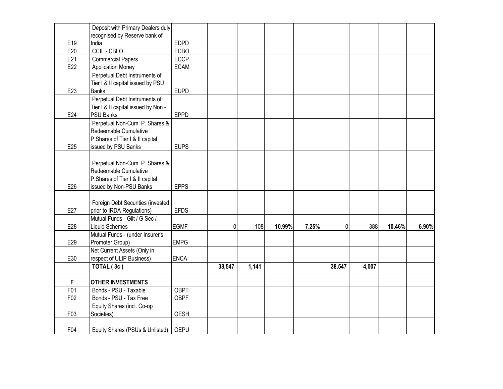|     | Deposit with Primary Dealers duly                       |             |        |       |        |       |                |       |        |       |
|-----|---------------------------------------------------------|-------------|--------|-------|--------|-------|----------------|-------|--------|-------|
|     | recognised by Reserve bank of                           |             |        |       |        |       |                |       |        |       |
| E19 | India                                                   | <b>EDPD</b> |        |       |        |       |                |       |        |       |
| E20 | <b>CCIL - CBLO</b>                                      | ECBO        |        |       |        |       |                |       |        |       |
| E21 | <b>Commercial Papers</b>                                | <b>ECCP</b> |        |       |        |       |                |       |        |       |
| E22 | <b>Application Money</b>                                | <b>ECAM</b> |        |       |        |       |                |       |        |       |
|     | Perpetual Debt Instruments of                           |             |        |       |        |       |                |       |        |       |
|     | Tier I & II capital issued by PSU                       |             |        |       |        |       |                |       |        |       |
| E23 | <b>Banks</b>                                            | <b>EUPD</b> |        |       |        |       |                |       |        |       |
|     | Perpetual Debt Instruments of                           |             |        |       |        |       |                |       |        |       |
|     | Tier I & II capital issued by Non -                     |             |        |       |        |       |                |       |        |       |
| E24 | <b>PSU Banks</b>                                        | <b>EPPD</b> |        |       |        |       |                |       |        |       |
|     | Perpetual Non-Cum. P. Shares &                          |             |        |       |        |       |                |       |        |       |
|     | Redeemable Cumulative                                   |             |        |       |        |       |                |       |        |       |
|     | P.Shares of Tier I & II capital                         |             |        |       |        |       |                |       |        |       |
| E25 | issued by PSU Banks                                     | <b>EUPS</b> |        |       |        |       |                |       |        |       |
|     |                                                         |             |        |       |        |       |                |       |        |       |
|     |                                                         |             |        |       |        |       |                |       |        |       |
|     | Perpetual Non-Cum. P. Shares &<br>Redeemable Cumulative |             |        |       |        |       |                |       |        |       |
|     |                                                         |             |        |       |        |       |                |       |        |       |
|     | P.Shares of Tier I & II capital                         |             |        |       |        |       |                |       |        |       |
| E26 | issued by Non-PSU Banks                                 | <b>EPPS</b> |        |       |        |       |                |       |        |       |
|     |                                                         |             |        |       |        |       |                |       |        |       |
|     | Foreign Debt Securities (invested                       |             |        |       |        |       |                |       |        |       |
| E27 | prior to IRDA Regulations)                              | <b>EFDS</b> |        |       |        |       |                |       |        |       |
|     | Mutual Funds - Gilt / G Sec /                           |             |        |       |        |       |                |       |        |       |
| E28 | <b>Liquid Schemes</b>                                   | <b>EGMF</b> | 0      | 108   | 10.99% | 7.25% | $\overline{0}$ | 388   | 10.46% | 6.90% |
|     | Mutual Funds - (under Insurer's                         |             |        |       |        |       |                |       |        |       |
| E29 | Promoter Group)                                         | <b>EMPG</b> |        |       |        |       |                |       |        |       |
|     | Net Current Assets (Only in                             |             |        |       |        |       |                |       |        |       |
| E30 | respect of ULIP Business)                               | <b>ENCA</b> |        |       |        |       |                |       |        |       |
|     | TOTAL (3c)                                              |             | 38,547 | 1,141 |        |       | 38,547         | 4,007 |        |       |
|     |                                                         |             |        |       |        |       |                |       |        |       |
| F   | <b>OTHER INVESTMENTS</b>                                |             |        |       |        |       |                |       |        |       |
| F01 | Bonds - PSU - Taxable                                   | <b>OBPT</b> |        |       |        |       |                |       |        |       |
| F02 | Bonds - PSU - Tax Free                                  | <b>OBPF</b> |        |       |        |       |                |       |        |       |
|     | Equity Shares (incl. Co-op                              |             |        |       |        |       |                |       |        |       |
| F03 | Societies)                                              | OESH        |        |       |        |       |                |       |        |       |
|     |                                                         |             |        |       |        |       |                |       |        |       |
| F04 | Equity Shares (PSUs & Unlisted)                         | <b>OEPU</b> |        |       |        |       |                |       |        |       |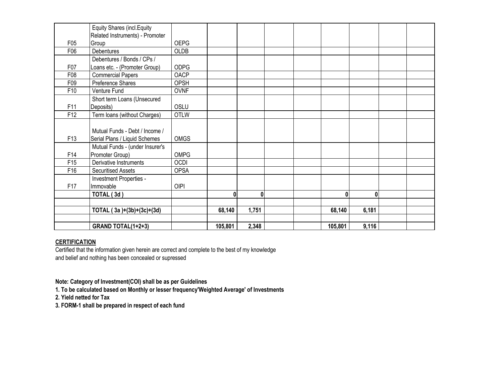|                 | Equity Shares (incl. Equity     |             |              |       |  |         |       |  |
|-----------------|---------------------------------|-------------|--------------|-------|--|---------|-------|--|
|                 | Related Instruments) - Promoter |             |              |       |  |         |       |  |
| F05             | Group                           | <b>OEPG</b> |              |       |  |         |       |  |
| F06             | <b>Debentures</b>               | <b>OLDB</b> |              |       |  |         |       |  |
|                 | Debentures / Bonds / CPs /      |             |              |       |  |         |       |  |
| F07             | Loans etc. - (Promoter Group)   | <b>ODPG</b> |              |       |  |         |       |  |
| F08             | <b>Commercial Papers</b>        | <b>OACP</b> |              |       |  |         |       |  |
| F09             | Preference Shares               | OPSH        |              |       |  |         |       |  |
| F10             | Venture Fund                    | <b>OVNF</b> |              |       |  |         |       |  |
|                 | Short term Loans (Unsecured     |             |              |       |  |         |       |  |
| F11             | Deposits)                       | OSLU        |              |       |  |         |       |  |
| F12             | Term loans (without Charges)    | <b>OTLW</b> |              |       |  |         |       |  |
|                 |                                 |             |              |       |  |         |       |  |
|                 | Mutual Funds - Debt / Income /  |             |              |       |  |         |       |  |
| F13             | Serial Plans / Liquid Schemes   | <b>OMGS</b> |              |       |  |         |       |  |
|                 | Mutual Funds - (under Insurer's |             |              |       |  |         |       |  |
| F14             | Promoter Group)                 | <b>OMPG</b> |              |       |  |         |       |  |
| F <sub>15</sub> | Derivative Instruments          | OCDI        |              |       |  |         |       |  |
| F16             | <b>Securitised Assets</b>       | <b>OPSA</b> |              |       |  |         |       |  |
|                 | Investment Properties -         |             |              |       |  |         |       |  |
| F17             | Immovable                       | <b>OIPI</b> |              |       |  |         |       |  |
|                 | TOTAL (3d)                      |             | $\mathbf{0}$ | 0     |  | 0       | 0     |  |
|                 |                                 |             |              |       |  |         |       |  |
|                 | TOTAL $(3a)+(3b)+(3c)+(3d)$     |             | 68,140       | 1,751 |  | 68,140  | 6,181 |  |
|                 |                                 |             |              |       |  |         |       |  |
|                 | <b>GRAND TOTAL(1+2+3)</b>       |             | 105,801      | 2,348 |  | 105,801 | 9,116 |  |

#### **CERTIFICATION**

Certified that the information given herein are correct and complete to the best of my knowledge and belief and nothing has been concealed or supressed

**Note: Category of Investment(COI) shall be as per Guidelines**

**1. To be calculated based on Monthly or lesser frequency'Weighted Average' of Investments**

**2. Yield netted for Tax**

**3. FORM-1 shall be prepared in respect of each fund**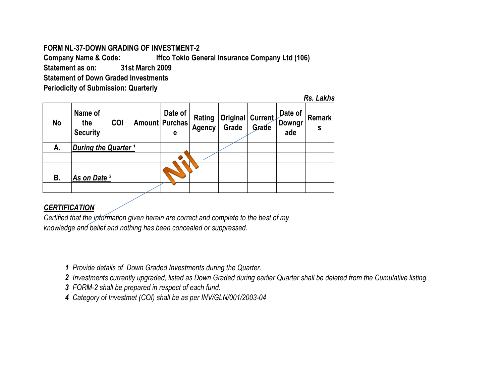#### **FORM NL-37-DOWN GRADING OF INVESTMENT-2**

**Company Name & Code: Statement as on: Statement of Down Graded Investments Periodicity of Submission: Quarterly Iffco Tokio General Insurance Company Ltd (106) 31st March 2009**

| No | Name of<br>the<br><b>Security</b> | COI | Date of<br>Amount   Purchas  <br>е | Rating<br>Agency | Original Current<br>Grade | Grade | Date of<br>Downgr<br>ade | <b>Remark</b><br>S |
|----|-----------------------------------|-----|------------------------------------|------------------|---------------------------|-------|--------------------------|--------------------|
| А. | During the Quarter <sup>1</sup>   |     |                                    |                  |                           |       |                          |                    |
|    |                                   |     |                                    |                  |                           |       |                          |                    |
|    |                                   |     |                                    |                  |                           |       |                          |                    |
| В. | As on Date <sup>2</sup>           |     |                                    |                  |                           |       |                          |                    |
|    |                                   |     |                                    |                  |                           |       |                          |                    |

### *CERTIFICATION*

*Certified that the information given herein are correct and complete to the best of my knowledge and belief and nothing has been concealed or suppressed.*

*1 Provide details of Down Graded Investments during the Quarter.* 

*2 Investments currently upgraded, listed as Down Graded during earlier Quarter shall be deleted from the Cumulative listing.*

*Rs. Lakhs*

*3 FORM-2 shall be prepared in respect of each fund.*

*4 Category of Investmet (COI) shall be as per INV/GLN/001/2003-04*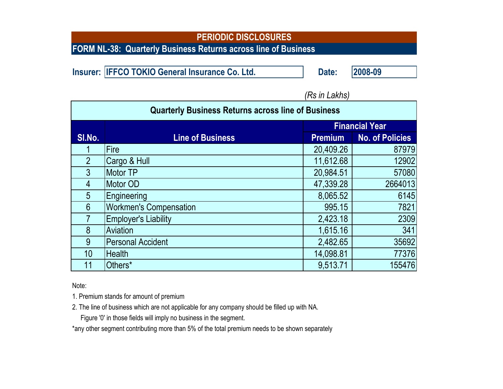**FORM NL-38: Quarterly Business Returns across line of Business**

**Insurer: IFFCO TOKIO General Insurance Co. Ltd. <b>Date: Date: 2008-09** 

| <b>Quarterly Business Returns across line of Business</b> |                               |                       |                        |  |  |
|-----------------------------------------------------------|-------------------------------|-----------------------|------------------------|--|--|
|                                                           |                               | <b>Financial Year</b> |                        |  |  |
| SI.No.                                                    | <b>Line of Business</b>       | <b>Premium</b>        | <b>No. of Policies</b> |  |  |
|                                                           | Fire                          | 20,409.26             | 87979                  |  |  |
| $\overline{2}$                                            | Cargo & Hull                  | 11,612.68             | 12902                  |  |  |
| $\overline{3}$                                            | <b>Motor TP</b>               | 20,984.51             | 57080                  |  |  |
| 4                                                         | Motor OD                      | 47,339.28             | 2664013                |  |  |
| 5                                                         | Engineering                   | 8,065.52              | 6145                   |  |  |
| $6 \overline{6}$                                          | <b>Workmen's Compensation</b> | 995.15                | 7821                   |  |  |
|                                                           | <b>Employer's Liability</b>   | 2,423.18              | 2309                   |  |  |
| 8                                                         | Aviation                      | 1,615.16              | 341                    |  |  |
| $\overline{9}$                                            | <b>Personal Accident</b>      | 2,482.65              | 35692                  |  |  |
| 10 <sup>°</sup>                                           | <b>Health</b>                 | 14,098.81             | 77376                  |  |  |
| 11                                                        | Others*                       | 9,513.71              | 155476                 |  |  |

*(Rs in Lakhs)*

Note:

1. Premium stands for amount of premium

2. The line of business which are not applicable for any company should be filled up with NA.

Figure '0' in those fields will imply no business in the segment.

\*any other segment contributing more than 5% of the total premium needs to be shown separately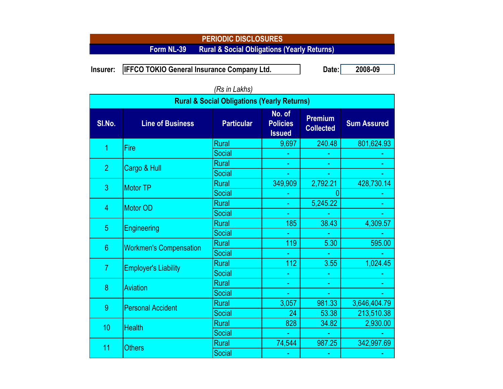## **PERIODIC DISCLOSURES Form NL-39 Rural & Social Obligations (Yearly Returns)**

Insurer: |IFFCO TOKIO General Insurance Company Ltd. Date:| 2008-09

| וטוווים ווויטרון<br><b>Rural &amp; Social Obligations (Yearly Returns)</b> |                               |                   |                                            |                                    |                    |  |
|----------------------------------------------------------------------------|-------------------------------|-------------------|--------------------------------------------|------------------------------------|--------------------|--|
| SI.No.                                                                     | <b>Line of Business</b>       | <b>Particular</b> | No. of<br><b>Policies</b><br><b>Issued</b> | <b>Premium</b><br><b>Collected</b> | <b>Sum Assured</b> |  |
| 1                                                                          | Fire                          | Rural             | 9,697                                      | 240.48                             | 801,624.93         |  |
|                                                                            |                               | Social            |                                            |                                    |                    |  |
| $\overline{2}$                                                             | Cargo & Hull                  | <b>Rural</b>      |                                            |                                    |                    |  |
|                                                                            |                               | Social            |                                            |                                    |                    |  |
| 3                                                                          | <b>Motor TP</b>               | <b>Rural</b>      | 349,909                                    | 2,792.21                           | 428,730.14         |  |
|                                                                            |                               | Social            |                                            |                                    |                    |  |
| 4                                                                          | Motor OD                      | <b>Rural</b>      |                                            | 5,245.22                           |                    |  |
|                                                                            |                               | Social            |                                            |                                    |                    |  |
| 5                                                                          | Engineering                   | <b>Rural</b>      | 185                                        | 38.43                              | 4,309.57           |  |
|                                                                            |                               | Social            |                                            |                                    |                    |  |
| $6\phantom{1}$                                                             | <b>Workmen's Compensation</b> | <b>Rural</b>      | 119                                        | 5.30                               | 595.00             |  |
|                                                                            |                               | <b>Social</b>     |                                            |                                    |                    |  |
| $\overline{7}$                                                             | <b>Employer's Liability</b>   | <b>Rural</b>      | 112                                        | 3.55                               | 1,024.45           |  |
|                                                                            |                               | Social            |                                            |                                    |                    |  |
| 8                                                                          | Aviation                      | Rural             |                                            |                                    |                    |  |
|                                                                            |                               | Social            |                                            |                                    |                    |  |
| 9                                                                          | <b>Personal Accident</b>      | <b>Rural</b>      | 3,057                                      | 981.33                             | 3,646,404.79       |  |
|                                                                            |                               | <b>Social</b>     | 24                                         | 53.38                              | 213,510.38         |  |
| 10                                                                         | <b>Health</b>                 | <b>Rural</b>      | 828                                        | 34.82                              | 2,930.00           |  |
|                                                                            |                               | Social            |                                            |                                    |                    |  |
| 11                                                                         | <b>Others</b>                 | <b>Rural</b>      | 74,544                                     | 987.25                             | 342,997.69         |  |
|                                                                            |                               | Social            |                                            |                                    |                    |  |

*(Rs in Lakhs)*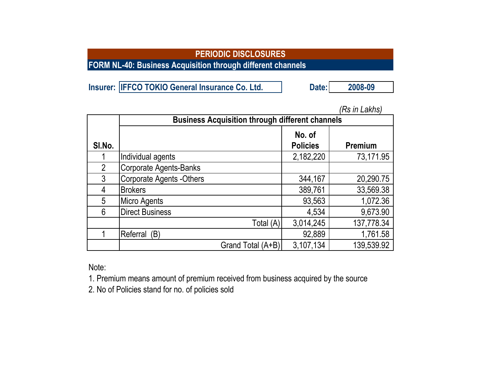**FORM NL-40: Business Acquisition through different channels**

**Insurer: IFFCO TOKIO General Insurance Co. Ltd. Date:** 2008-09

|                | <b>Business Acquisition through different channels</b> |                           |            |  |  |  |
|----------------|--------------------------------------------------------|---------------------------|------------|--|--|--|
| SI.No.         |                                                        | No. of<br><b>Policies</b> | Premium    |  |  |  |
|                | Individual agents                                      | 2,182,220                 | 73,171.95  |  |  |  |
| $\overline{2}$ | <b>Corporate Agents-Banks</b>                          |                           |            |  |  |  |
| 3              | <b>Corporate Agents -Others</b>                        | 344,167                   | 20,290.75  |  |  |  |
| 4              | <b>Brokers</b>                                         | 389,761                   | 33,569.38  |  |  |  |
| 5              | Micro Agents                                           | 93,563                    | 1,072.36   |  |  |  |
| 6              | <b>Direct Business</b>                                 | 4,534                     | 9,673.90   |  |  |  |
|                | Total (A)                                              | 3,014,245                 | 137,778.34 |  |  |  |
|                | Referral<br>(B)                                        | 92,889                    | 1,761.58   |  |  |  |
|                | Grand Total (A+B)                                      | 3,107,134                 | 139,539.92 |  |  |  |

*(Rs in Lakhs)*

Note:

1. Premium means amount of premium received from business acquired by the source

2. No of Policies stand for no. of policies sold